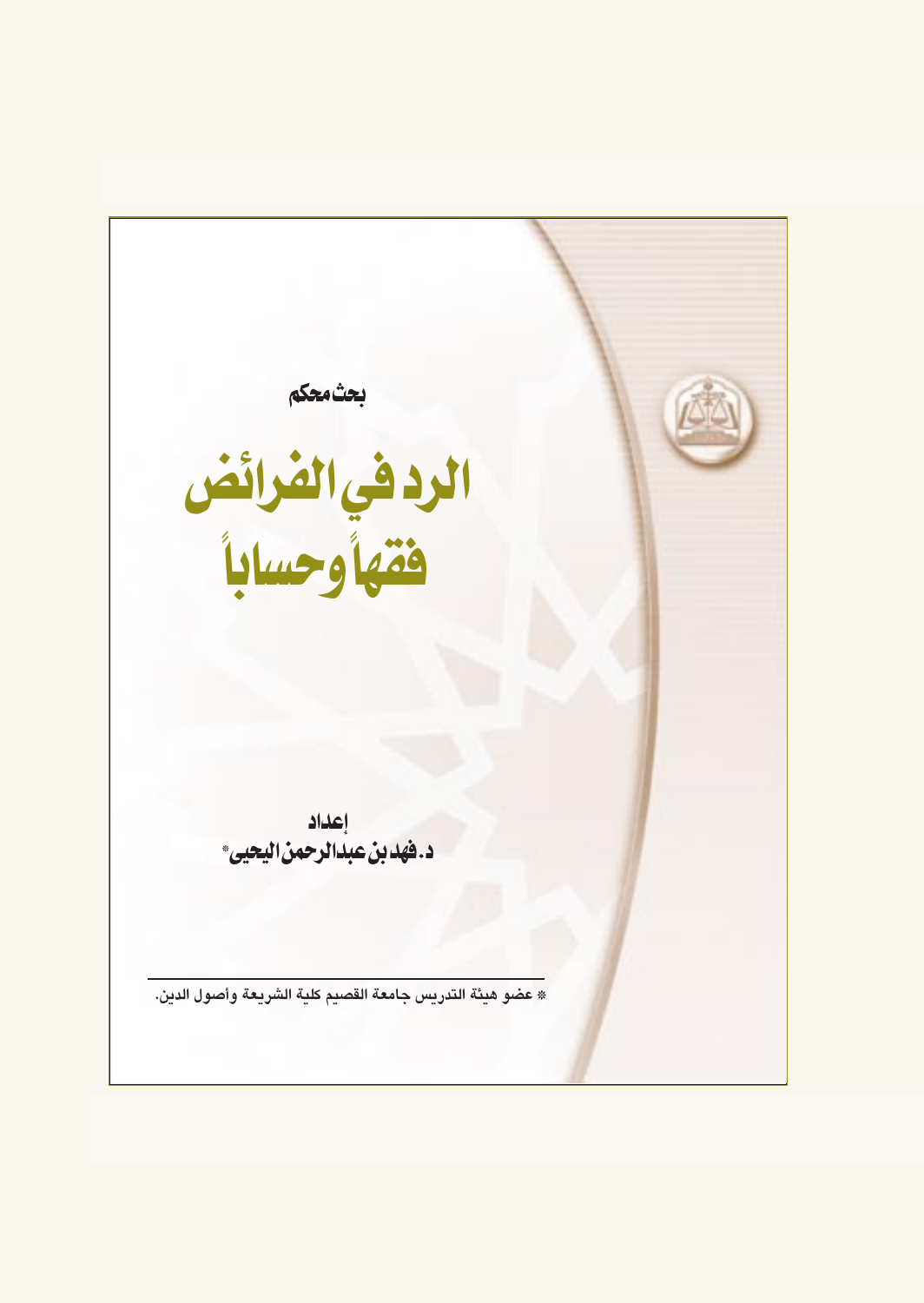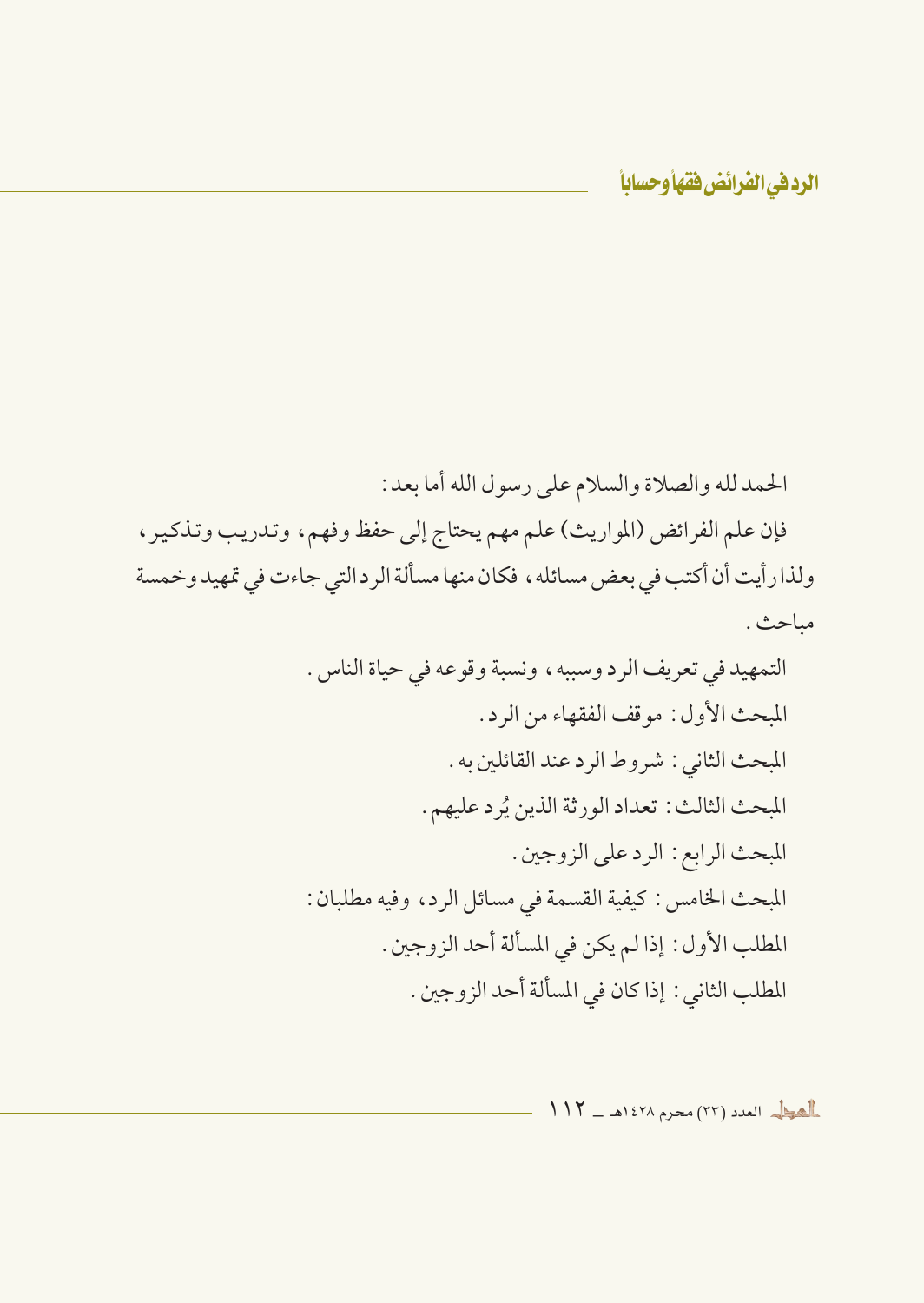الحمد لله والصلاة والسلام على رسول الله أما بعد : فإن علم الفرائض (المواريث) علم مهم يحتاج إلى حفظ وفهم، وتدريب وتذكير ، ولذا رأيت أن أكتب في بعض مسائله ، فكان منها مسألة الرد التي جاءت في تمهيد وخمسة مباحث .

> التمهيد في تعريف الرد وسببه ، ونسبة وقوعه في حياة الناس . المبحث الأول: موقف الفقهاء من الرد. المبحث الثاني : شروط الرد عند القائلين به . المبحث الثالث : تعداد الورثة الذين يُرد عليهم . المبحث الرابع : الرد على الزوجين . المبحث الخامس : كيفية القسمة في مسائل الرد، وفيه مطلبان : المطلب الأول : إذا لم يكن في المسألة أحد الزوجين . المطلب الثاني : إذا كان في المسألة أحد الزوجين .

> > العط العدد (٣٣) محرم ١٤٢٨هـ - ١١٢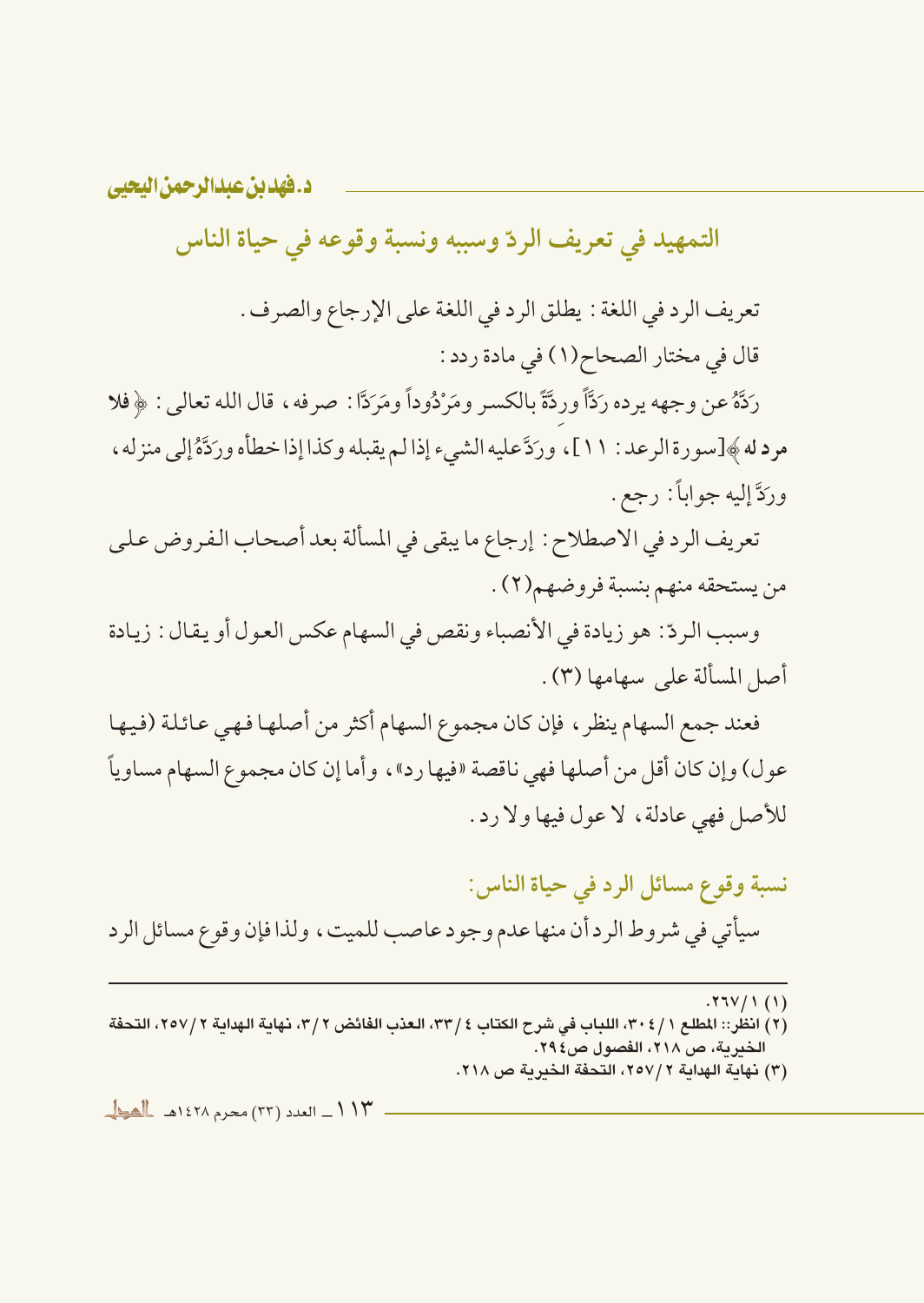التمهيد في تعريف الردّ وسببه ونسبة وقوعه في حياة الناس

تعريف الرد في اللغة : يطلق الرد في اللغة على الإرجاع والصرف . قال في مختار الصحاح(١) في مادة ردد :

رَدَّهُ عن وجهه يرده رَدَّاً وردَّةً بِالكسر ومَرْدُوداً ومَرَدَّا : صرفه ، قال الله تعالى : ﴿ فَلا مرد له ﴾[سورة الرعد : ١١]، ورَدَّعليه الشيء إذا لم يقبله وكذا إذا خطأه ورَدَّةُ إلى منزله، ورَدَّ إليه جواباً: رجع .

تعريف الرد في الاصطلاح : إرجاع ما يبقى في المسألة بعد أصحاب الفروض على من يستحقه منهم بنسبة فروضهم(٢) .

وسبب الردّ : هو زيادة في الأنصباء ونقص في السهام عكس العول أو يقال : زيادة أصل المسألة على سهامها (٣).

فعند جمع السهام ينظر ، فإن كان مجموع السهام أكثر من أصلها فهي عائلة (فيها عو ل) وإن كان أقل من أصلها فهي ناقصة «فيها رد» ، وأما إن كان مجموع السهام مساوياً للأصل فهي عادلة، لا عول فيها ولا رد.

نسبة وقوع مسائل الرد في حياة الناس: سيأتي في شروط الرد أن منها عدم وجود عاصب للميت، ولذا فإن وقوع مسائل الرد

 $.77V/1(1)$ 

(٢) انظر:: المطلع ٢٠٤/١ ، ٣٠، اللباب في شرح الكتاب ٤ /٣٣، العذب الفائض ٢ /٣، نهاية الهداية ٢ /٢٥٧، التحفة الخدرية، ص ٢١٨، الفصول ص٤٩٤. (٣) نهاية الهداية ٢٥٧/٢، التحفة الخبرية ص ٢١٨.

١١٣\_ العدد (٢٣) محرم ١٤٢٨هـ بالعطاء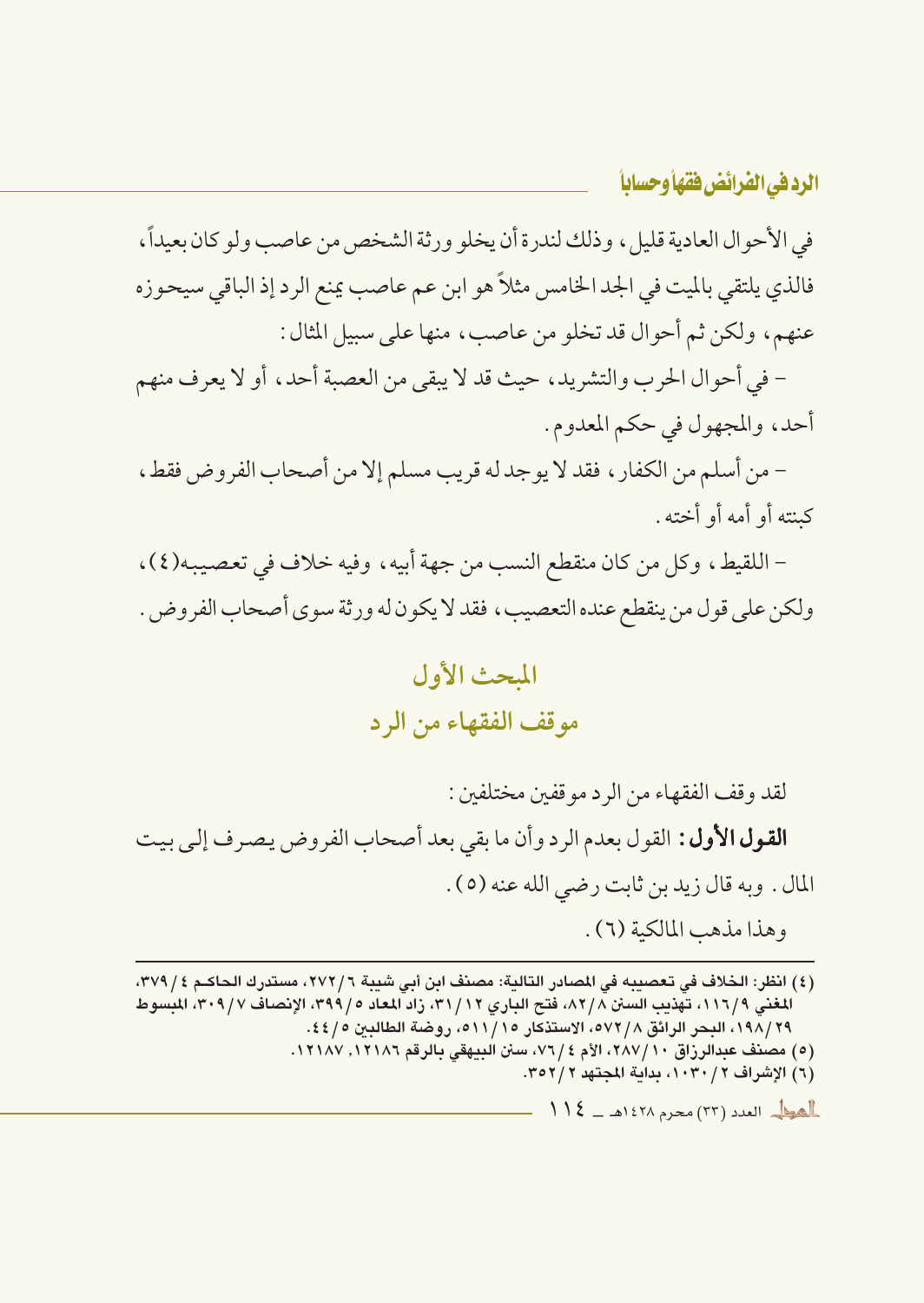في الأحوال العادية قليل، وذلك لندرة أن يخلو ورثة الشخص من عاصب ولو كان بعيداً، فالذي يلتقي بالميت في الجد الخامس مثلاً هو ابن عم عاصب يمنع الرد إذ الباقي سيحوزه عنهم، ولكن ثم أحوال قد تخلو من عاصب، منها على سبيل المثال :

– في أحوال الحرب والتشريد، حيث قد لا يبقى من العصبة أحد، أو لا يعرف منهم أحد، والمجهول في حكم المعدوم.

– من أسلم من الكفار ، فقد لا يوجد له قريب مسلم إلا من أصحاب الفروض فقط ، كىنته أو أمه أو أخته .

– اللقيط، وكل من كان منقطع النسب من جهة أبيه، وفيه خلاف في تعصيبه(٤)، ولكن على قول من ينقطع عنده التعصيب ، فقد لا يكون له ورثة سوى أصحاب الفروض .

### المحث الأول مو قف الفقهاء من الر د

لقد وقف الفقهاء من الرد مو قفين مختلفين : **القول الأول:** القول بعدم الرد وأن ما بقى بعد أصحاب الفروض يصرف إلى بيت المال . وبه قال زيد بن ثابت رضي الله عنه (٥) . وهذا مذهب المالكية (٦).

(٤) انظر: الخلاف في تعصيبه في المصادر التالية: مصنف ابن أبي شيبة ٢٧٢/٦، مستدرك الحاكـم ٢٧٩/٤، المغنى ١١٦/٩، تهذيب السنن ٨٢/٨، فتح الباري ٣١/١٢، زاد المعاد ٥/ ٣٩٩، الإنصاف ٣٠٩/٧، المبسوط ٢٩ /١٩٨، البحر الرائق ٥٧٢/٨، الاستذكار ١١/١٥، روضة الطالبن ٥/٤٤. (٥) مصنف عبدالرزاق ١٠/ ٢٨٧، الأم ٤/ ٧٦، سنن البيهقي بالرقم ١٢١٨٢, ١٢١٨٧. (٦) الإشراف ٢ / ١٠٣٠، بداية المجتهد ٢ / ٣٥٢.  $11$ العرد (٣٣) محرم ١٤٢٨هـ \_ ١٤٤٤هـ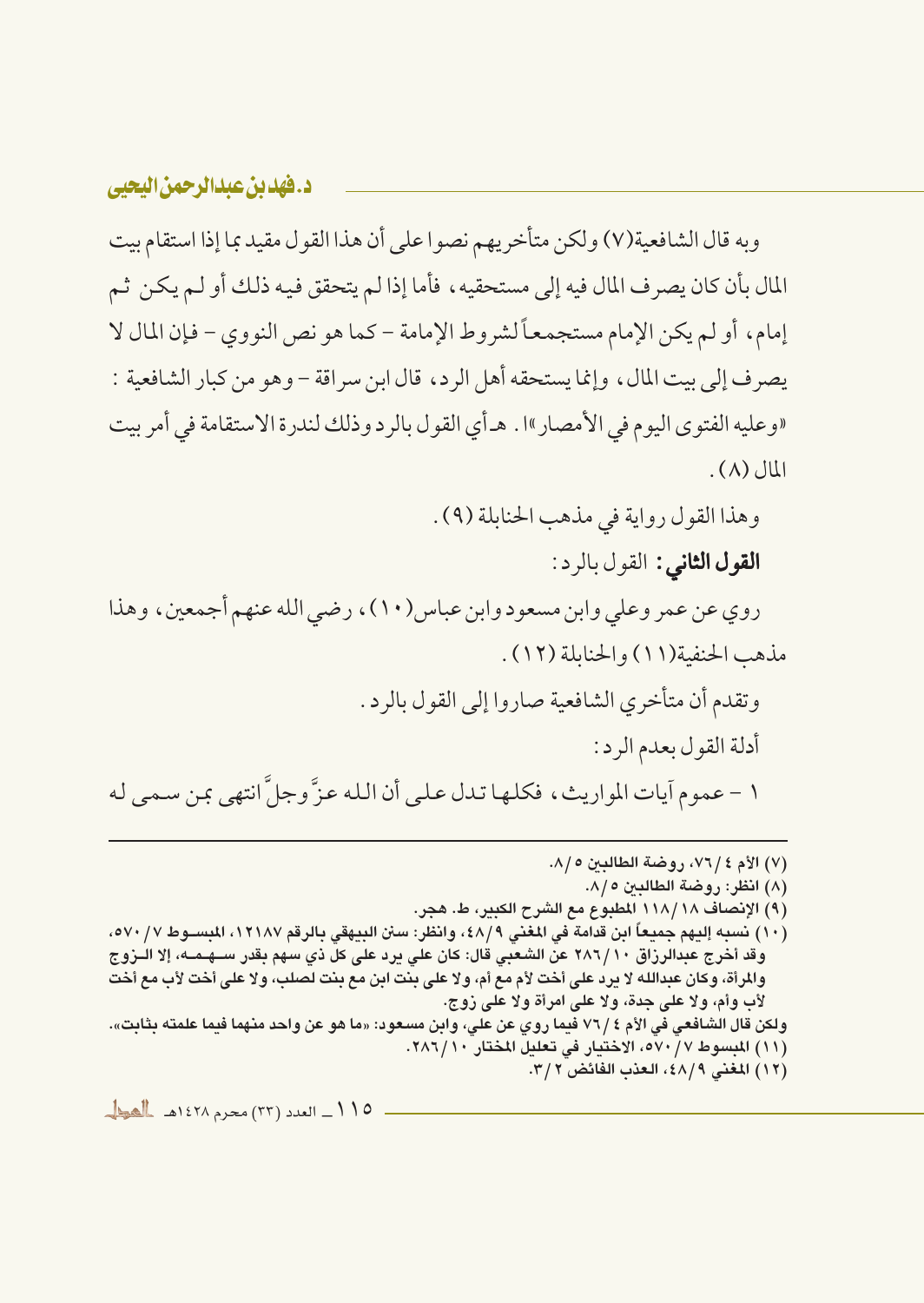وبه قال الشافعية(٧) ولكن متأخريهم نصوا على أن هذا القول مقيد بما إذا استقام بيت المال بأن كان يصرف المال فيه إلى مستحقيه ، فأما إذا لم يتحقق فيه ذلك أو لـم يكن ثـم إمام، أو لم يكن الإمام مستجمعاً لشروط الإمامة – كما هو نص النووي – فإن المال لا يصرف إلى بيت المال، وإنما يستحقه أهل الرد، قال ابن سراقة – وهو من كبار الشافعية : «وعليه الفتوى اليوم في الأمصار»ا . هـ أي القول بالرد وذلك لندرة الاستقامة في أمر بيت  $L(\Lambda)$ المال

وهذا القول رواية في مذهب الحنابلة (٩) .

**القول الثاني:** القول بالرد:

روي عن عمر وعلى وابن مسعود وابن عباس(١٠)، رضي الله عنهم أجمعين، وهذا مذهب الحنفية(١١) والحنابلة (١٢).

وتقدم أن متأخري الشافعية صاروا إلى القول بالرد.

أدلة القول بعدم الرد:

١ – عموم آيات المواريث، فكلها تدل على أن الله عزَّ وجلَّ انتهى بمن سمي له

(٧) الأم ٢ / ٧٦، روضة الطالبين ٥ /٨. (٨) انظر: روضة الطالبين ٥/٨. (٩) الإنصاف ١١٨/١٨ المطبوع مع الشرح الكبير، ط. هجر. (١٠) نسبه إليهم جميعاً ابن قدامة في المغنى ٤٨/٩، وانظر: سنن البيهقي بالرقم ١٢١٨٧، المبســوط ٥٧٠/٧، وقد أخرج عبدالرزاق ٢٨٦/١٠ عن الشعبي قال: كان على يرد على كل ذي سهم بقدر ســهـمــه، إلا الــزوج والمرأة، وكان عبدالله لا يرد على أخت لأم مع أم، ولا على بنت ابن مع بنت لصلب، ولا على أخت لأب مع أخت لأب وأم، ولا على جدة، ولا على امرأة ولا على زوج. ولكن قال الشافعي في الأم ٤ /٧٦ فيما روي عن علي، وابن مسعود: «ما هو عن واحد منهما فيما علمته بثابت». (١١) المبسوط ٥٧٠/٧، الاختيار في تعليل المختار ٢٨٦/١٠. (١٢) المغنى ٤٨/٩، العذب الفائض ٣/٣.

١١٥ ـ العدد (٢٣) محرم ١٤٢٨هـ للهول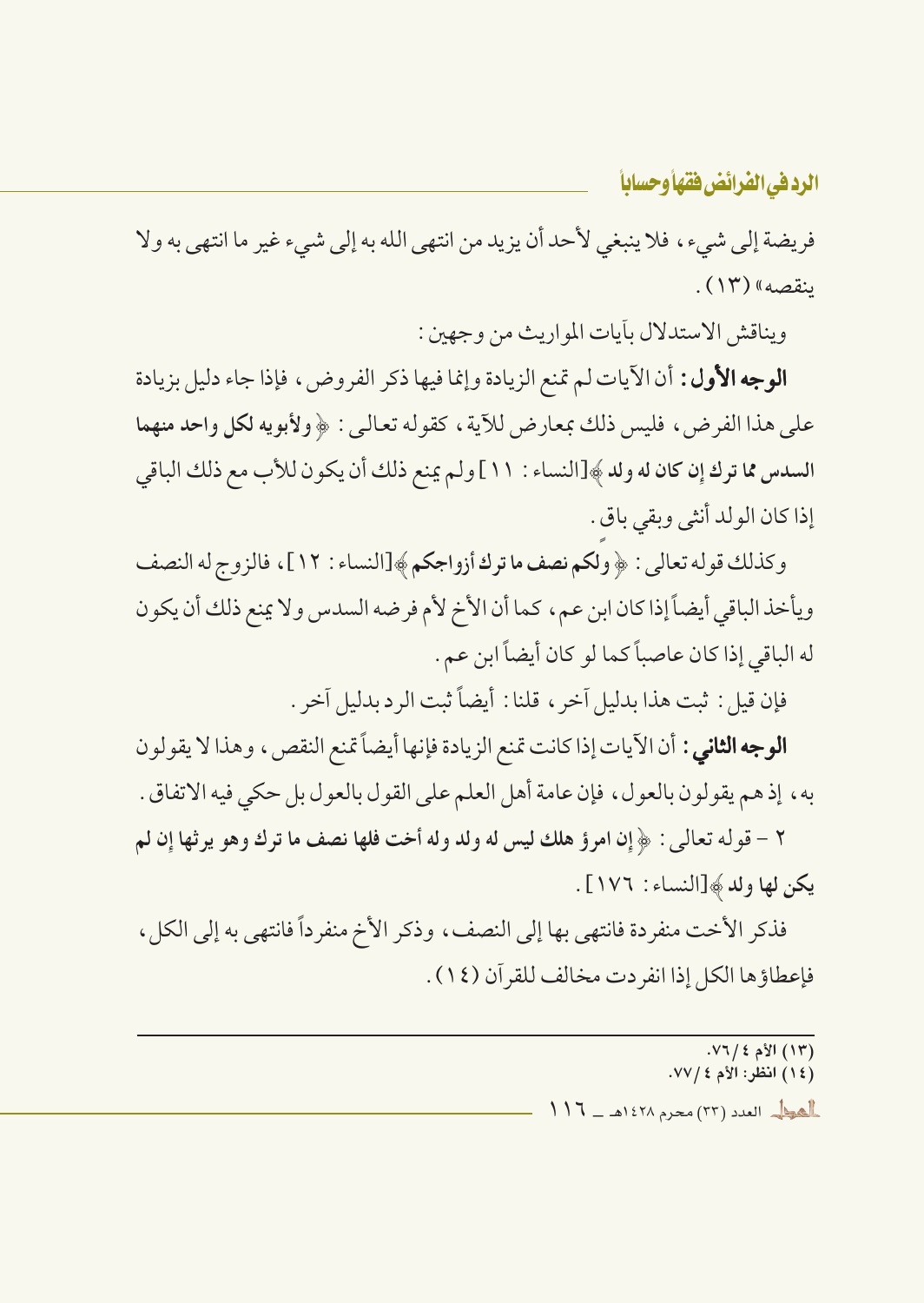فريضة إلى شيء، فلا ينبغي لأحد أن يزيد من انتهى الله به إلى شيء غير ما انتهى به ولا ينقصه» (١٣).

ويناقش الاستدلال بأيات المواريث من وجهين:

**الوجه الأول:** أن الآيات لم تمنع الزيادة وإنما فيها ذكر الفروض، فإذا جاء دليل بزيادة على هذا الفرض، فليس ذلك بمعارض للآية ، كقوله تعالى : ﴿ ولأَبويه لكلِّ واحد منهما السدس مما ترك إن كان له ولد ﴾[النساء : ١١] ولم يمنع ذلك أن يكون للأب مع ذلك الباقي إذا كان الولد أنثى وبقى باق .

وكذلك قوله تعالى : ﴿ ولكم نصف ما ترك أزواجكم﴾[النساء : ١٢]، فالزوج له النصف ويأخذ الباقي أيضاً إذا كان ابن عم، كما أن الأخ لأم فرضه السدس ولا يمنع ذلك أن يكون له الباقي إذا كان عاصباً كما لو كان أيضاً ابن عم .

فإن قيل : ثبت هذا بدليل آخر ، قلنا : أيضاً ثبت الرد بدليل آخر .

**الوجه الثاني :** أن الآيات إذا كانت تمنع الزيادة فإنها أيضاً تمنع النقص ، وهذا لا يقولون به ، إذ هم يقولون بالعول ، فإن عامة أهل العلم على القول بالعول بل حكى فيه الاتفاق .

٢ - قو له تعالى : ﴿ إِنَّ امرؤ هلك ليس له ولد وله أخت فلها نصف ما ترك وهو يرثها إن لم يكن لها ولد ﴾[النساء : ١٧٦].

فذكر الأخت منفردة فانتهى بها إلى النصف، وذكر الأخ منفر داً فانتهى به إلى الكل، فإعطاؤها الكل إذا انفر دت مخالف للقرآن (١٤).

> $. V7 / 2 3$  الأم ٤/ ٧٦. (١٤) انظر: الأم ٧٧/٤. **العوالي العدد (٢٣) محرم ١٤٢٨هـ \_ ١١١٦**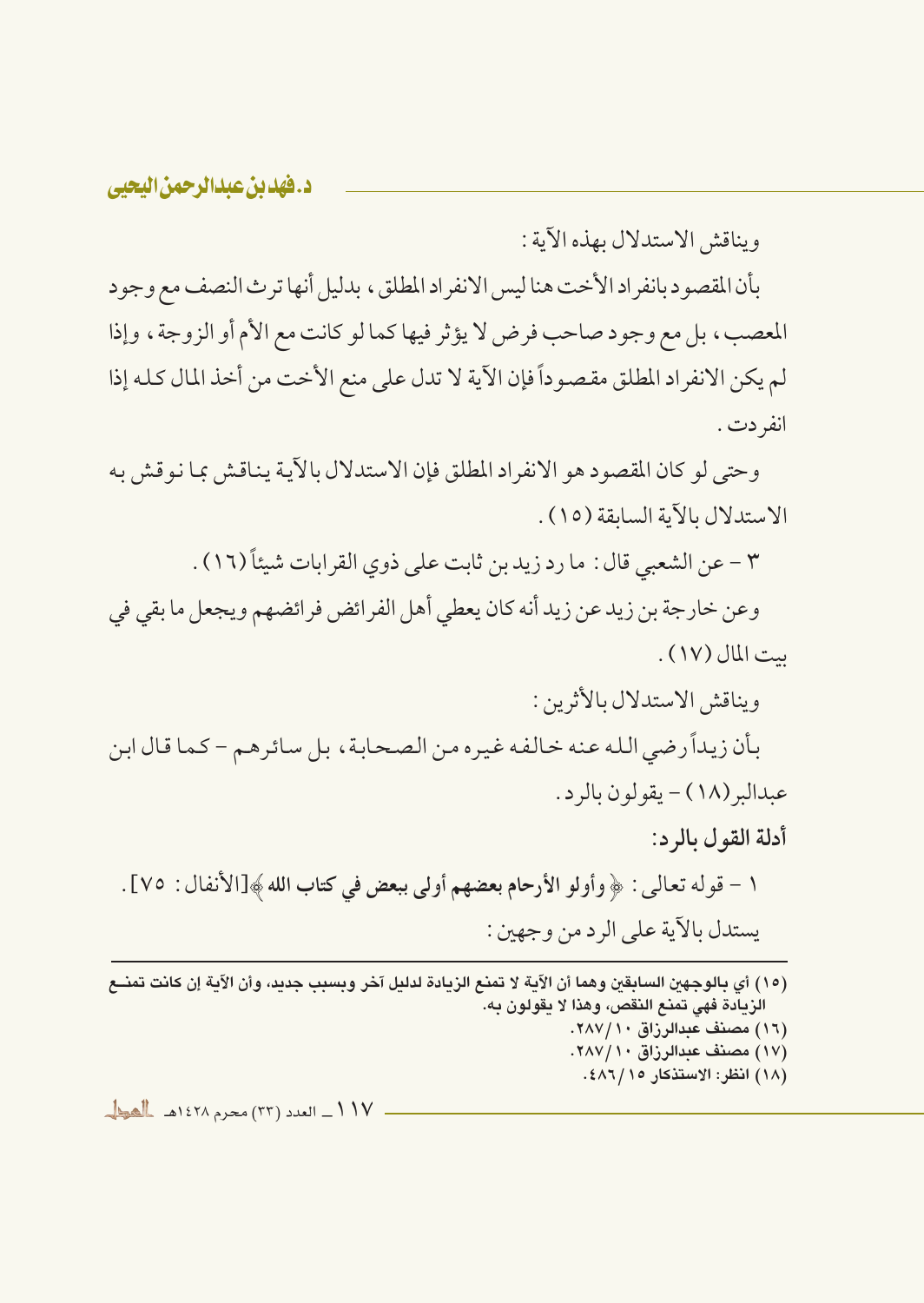ويناقش الاستدلال بهذه الآية :

بأن المقصود بانفراد الأخت هنا ليس الانفراد المطلق، بدليل أنها ترث النصف مع وجود المعصب، بل مع وجود صاحب فرض لا يؤثر فيها كما لو كانت مع الأم أو الزوجة، وإذا لم يكن الانفراد المطلق مقصوداً فإن الآية لا تدل على منع الأخت من أخذ المال كله إذا انفر دت .

وحتى لو كان المقصود هو الانفراد المطلق فإن الاستدلال بالآية يناقش بما نوقش به الاستدلال بالآية السابقة (١٥).

٣ - عن الشعبي قال : ما رد زيد بن ثابت على ذوى القرابات شيئاً (١٦) .

وعن خارجة بن زيد عن زيد أنه كان يعطي أهل الفرائض فرائضهم ويجعل ما بقى في ست المال (١٧).

ويناقش الاستدلال بالأثرين :

بأن زيداً رضي الله عنه خالفه غيره من الصحابة، بل سائرهم - كما قال ابن عبدالبر (١٨) - يقولون بالرد.

أدلة القول بالرد:

١ – قوله تعالى : ﴿ وأولو الأرحام بعضهم أولى ببعض في كتاب الله ﴾[الأنفال : ٧٥] . يستدل بالآية على الرد من وجهين :

- (١٥) أي بالوجهين السابقين وهما أن الآية لا تمنع الزيادة لدليل آخر وبسبب جديد، وأن الآية إن كانت تمنــع الزيادة فهي تمنع النقص، وهذا لا يقولون به.
	- (١٦) مصنف عبدالرزاق ٢٨٧/١٠.
	- (١٧) مصنف عبدالرزاق ٢٨٧/١٠.
		- (١٨) انظر: الاستذكار ١٥/ ٤٨٦.

 $\frac{1}{\sqrt{1-\frac{1}{2}}}\int_{0}^{1}$  at  $(57)$  and  $(57)$  and  $\frac{1}{\sqrt{2}}$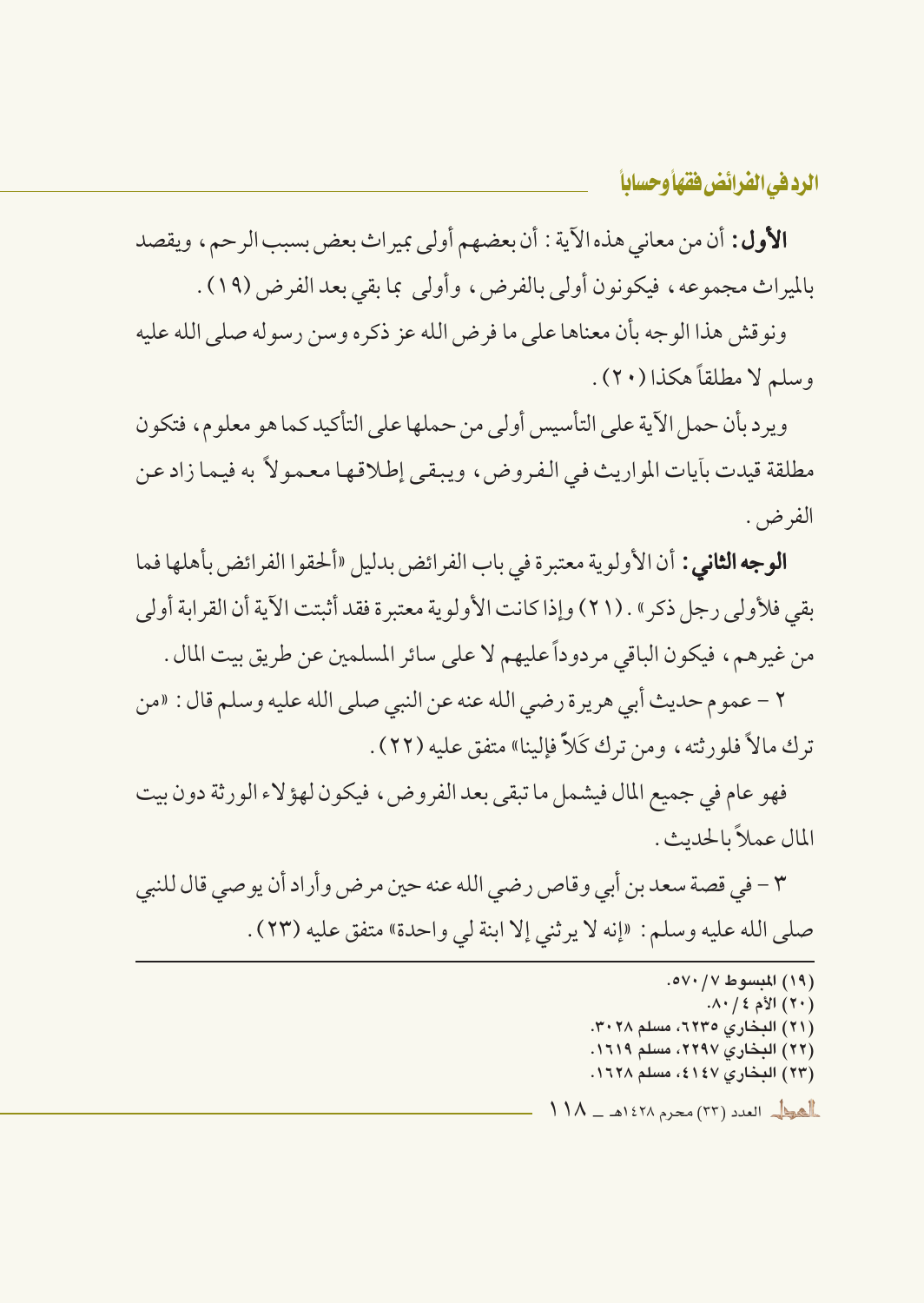الأول: أن من معاني هذه الآية : أن بعضهم أولى بميراث بعض بسبب الرحم، ويقصد بالميراث مجموعه، فيكونون أولى بالفرض، وأولى بما بقى بعد الفرض (١٩) .

ونو قش هذا الوجه بأن معناها على ما فرض الله عز ذكره وسن رسوله صلى الله عليه وسلم لا مطلقاً هكذا (٢٠).

وير ديأن حمل الآية على التأسيس أولى من حملها على التأكيد كما هو معلوم، فتكون مطلقة قيدت بِأيات المواريث في الفروض، ويبقى إطلاقها معمولاً به فيما زاد عن الفرض. .

**الوجه الثاني :** أن الأولوية معتبرة في باب الفرائض بدليل «ألحقوا الفرائض بأهلها فما يقي فلأولى رجل ذكر » . (٢١) وإذا كانت الأولوية معتبرة فقد أثبتت الآية أن القرابة أولى من غيرهم، فيكون الباقي مردوداً عليهم لا على سائر المسلمين عن طريق بيت المال .

٢ – عموم حديث أبي هريرة رضي الله عنه عن النبي صلى الله عليه وسلم قال : «من ترك مالاً فلورثته، ومِن ترك كَلاٌّ فإلينا» متفق عليه (٢٢) .

فهو عام في جميع المال فيشمل ما تبقى بعد الفروض، فيكون لهؤ لاء الورثة دون بيت المال عملاً بالحديث .

٣ – في قصة سعد بن أبي وقاص رضي الله عنه حين مرض وأراد أن يو صي قال للنبي صلى الله عليه وسلم: «إنه لا يرثني إلا ابنة لي واحدة» متفق عليه (٢٣) .

> (١٩) المبسوط ٧٠/ ٥٧٠.  $\Lambda$ ۰ / ٤ ) الأم ٤ / ۸۰. (٢١) البخاري ٢٢٣٥، مسلم ٣٠٢٨. (٢٢) البخاري ٢٢٩٧، مسلم ١٦١٩. (٢٣) البخاري ٤١٤٧، مسلم ١٦٢٨.  $11\Lambda = 127\Lambda$  العدد (٢٣) محرم ١٤٢٨هـ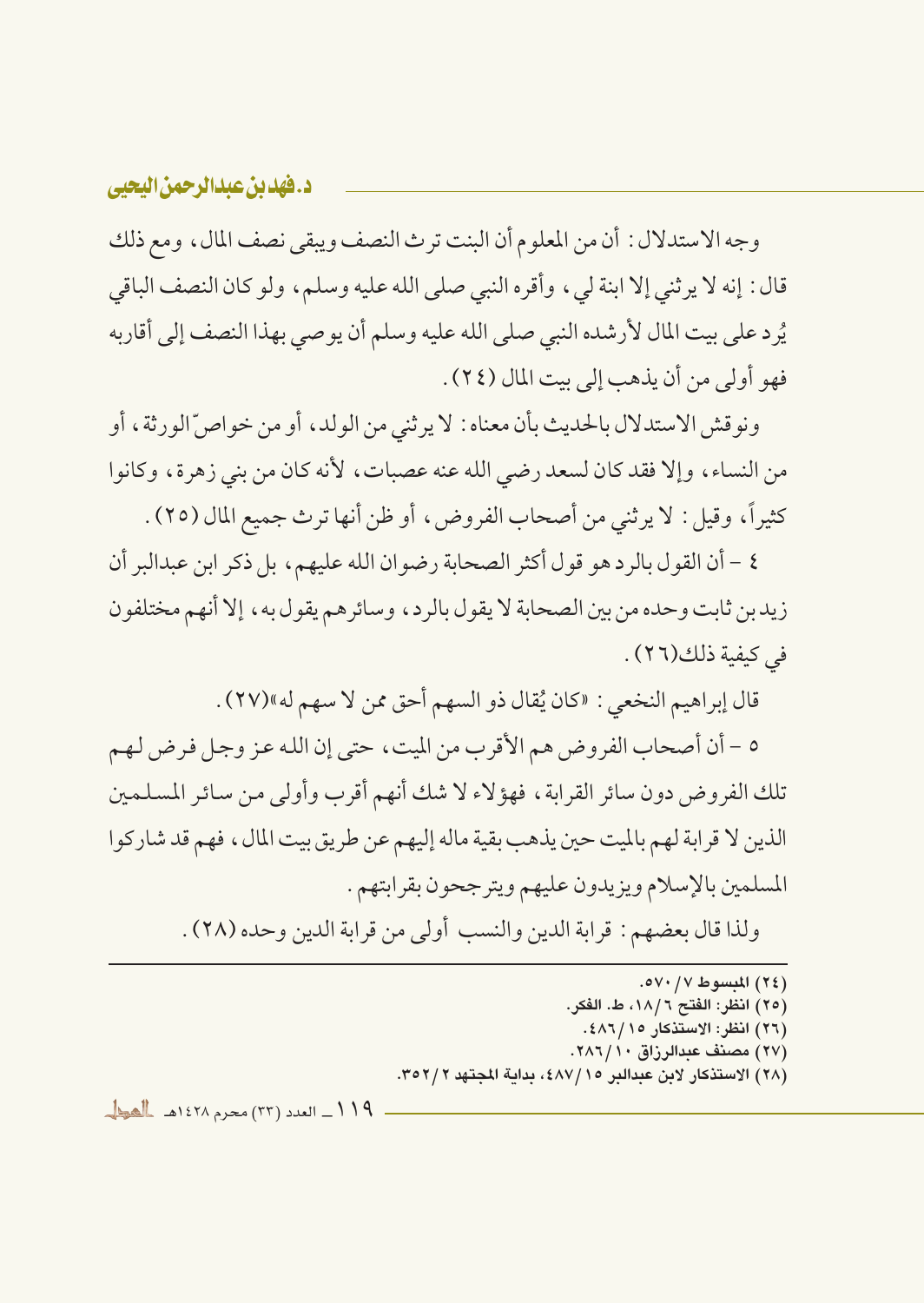وجه الاستدلال : أن من المعلوم أن البنت ترث النصف ويبقى نصف المال ، ومع ذلك قال : إنه لا يرثني إلا ابنة لي ، وأقره النبي صلى الله عليه وسلم، ولو كان النصف الباقي يُرد على بيت المال لأرشده النبي صلى الله عليه وسلم أن يوصى بهذا النصف إلى أقاربه فهو أولى من أن يذهب إلى بيت المال (٢٤) .

ونو قش الاستدلال بالحديث بأن معناه : لا يرثني من الولد، أو من خواصِّ الورثة، أو من النساء، وإلا فقد كان لسعد رضي الله عنه عصبات، لأنه كان من بني زهرة، وكانوا كثيراً، وقيل: لا يرثني من أصحاب الفروض، أو ظن أنها ترث جميع المال (٢٥) .

٤ – أن القول بالر د هو قول أكثر الصحابة رضوان الله عليهم، بل ذكر ابن عبدالبر أن زيد بن ثابت وحده من بين الصحابة لا يقول بالر د، وسائر هم يقول به، إلا أنهم مختلفون في كيفية ذلك (٢٦) .

قال إبراهيم النخعي : «كان يُقال ذو السهم أحق ممن لا سهم له»(٢٧) .

٥ – أن أصحاب الفروض هم الأقرب من الميت، حتى إن الله عز وجل فرض لهم تلك الفروض دون سائر القرابة، فهؤلاء لا شك أنهم أقرب وأولى من سائر المسلمين الذين لا قرابة لهم بالميت حين يذهب بقية ماله إليهم عن طريق بيت المال، فهم قد شاركوا المسلمين بالإسلام ويزيدون عليهم ويترجحون بقرابتهم .

ولذا قال بعضهم : قرابة الدين والنسب أولى من قرابة الدين وحده (٢٨) .

- (٢٤) المبسوط ٧٠/ ٥٧٠. (٢٥) انظر: الفتح ١٨/٦، ط. الفكر. (٢٦) انظر: الاستذكار ١٥/ ٤٨٦.
- (٢٧) مصنف عبدالرزاق ١٠/ ٢٨٦.
- (٢٨) الاستذكار لابن عبدالبر ١٥/١٧٨٤، بداية المجتهد ٣٥٢/٢.

١١٩\_ العدد (٣٣) محرم ١٤٢٨هـ المطل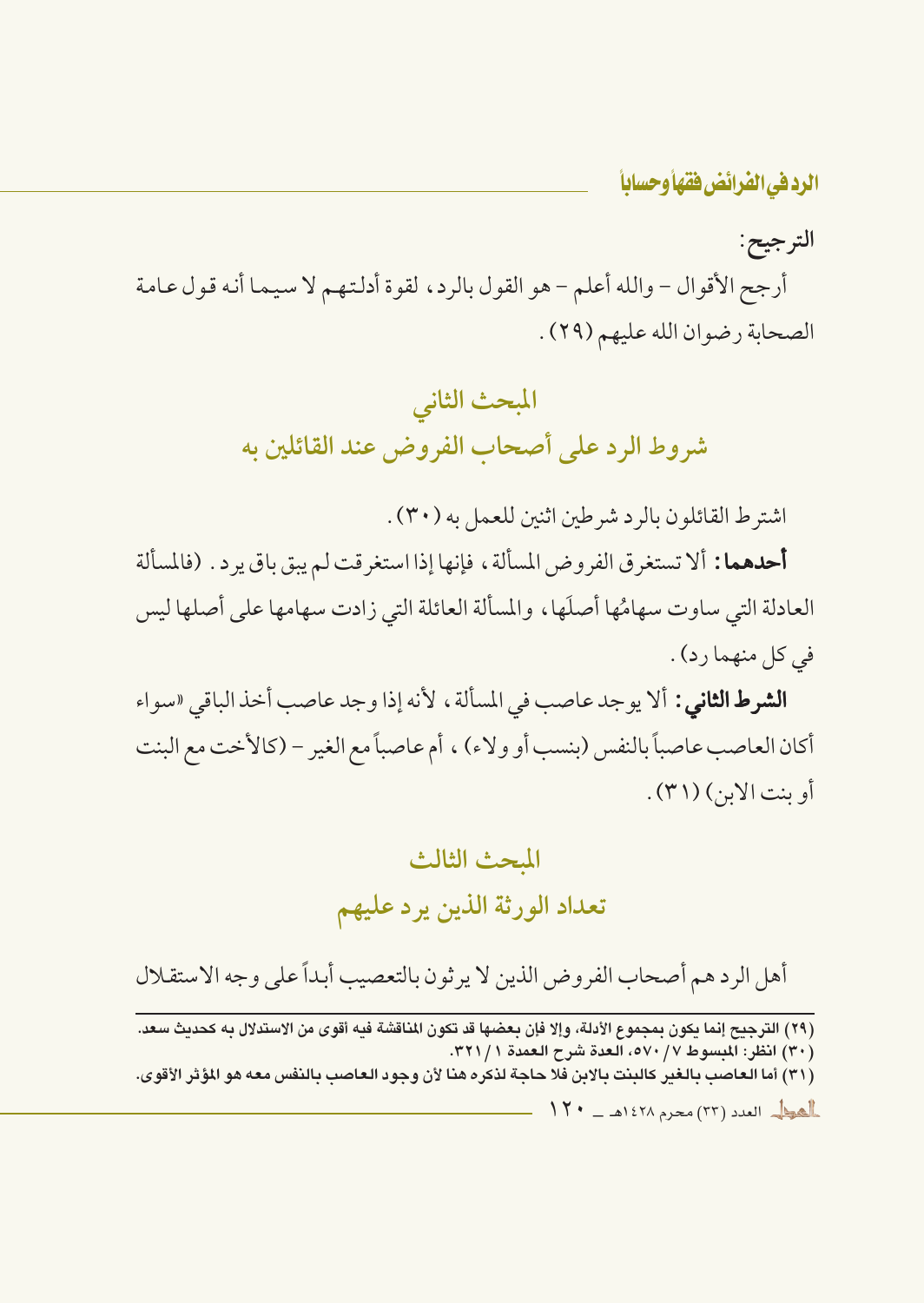الترجيح:

أرجح الأقوال – والله أعلم – هو القول بالرد، لقوة أدلتهم لا سيما أنه قول عامة الصحابة رضوان الله عليهم (٢٩).

## المبحث الثاني شروط الرد على أصحاب الفروض عند القائلين به

اشترط القائلون بالرد شرطين اثنين للعمل به (٣٠) .

**أحدهما:** ألا تستغرق الفروض المسألة ، فإنها إذا استغرقت لم يبق باق يرد . (فالمسألة العادلة التي ساوت سهامُها أصلَها، والمسألة العائلة التي زادت سهامها على أصلها ليس في كل منهما رد) .

**الشرط الثاني :** ألا يوجد عاصب في المسألة ، لأنه إذا وجد عاصب أخذ الباقي «سواء أكان العاصب عاصباً بالنفس (بنسب أو ولاء) ، أم عاصباً مع الغير – (كالأخت مع البنت أو بنت الأبر) (٣١) .

## المحث الثالث تعداد الورثة الذين يرد عليهم

أهل الردهم أصحاب الفروض الذين لا يرثون بالتعصيب أبداً على وجه الاستقلال

(٢٩) الترجيح إنما يكون بمجموع الأدلة، وإلا فإن بعضها قد تكون المناقشة فيه أقوى من الاستدلال به كحديث سعد. (٣٠) انظر: المبسوط ٥٧٠/٧، العدة شرح العمدة ٣٢١/١. (٣١) أما العاصب بالغير كالبنت بالابن فلا حاجة لذكره هنا لأن وجود العاصب بالنفس معه هو المؤثر الأقوى.  $17 - 1271$  and  $1571$  and  $177$  and  $188$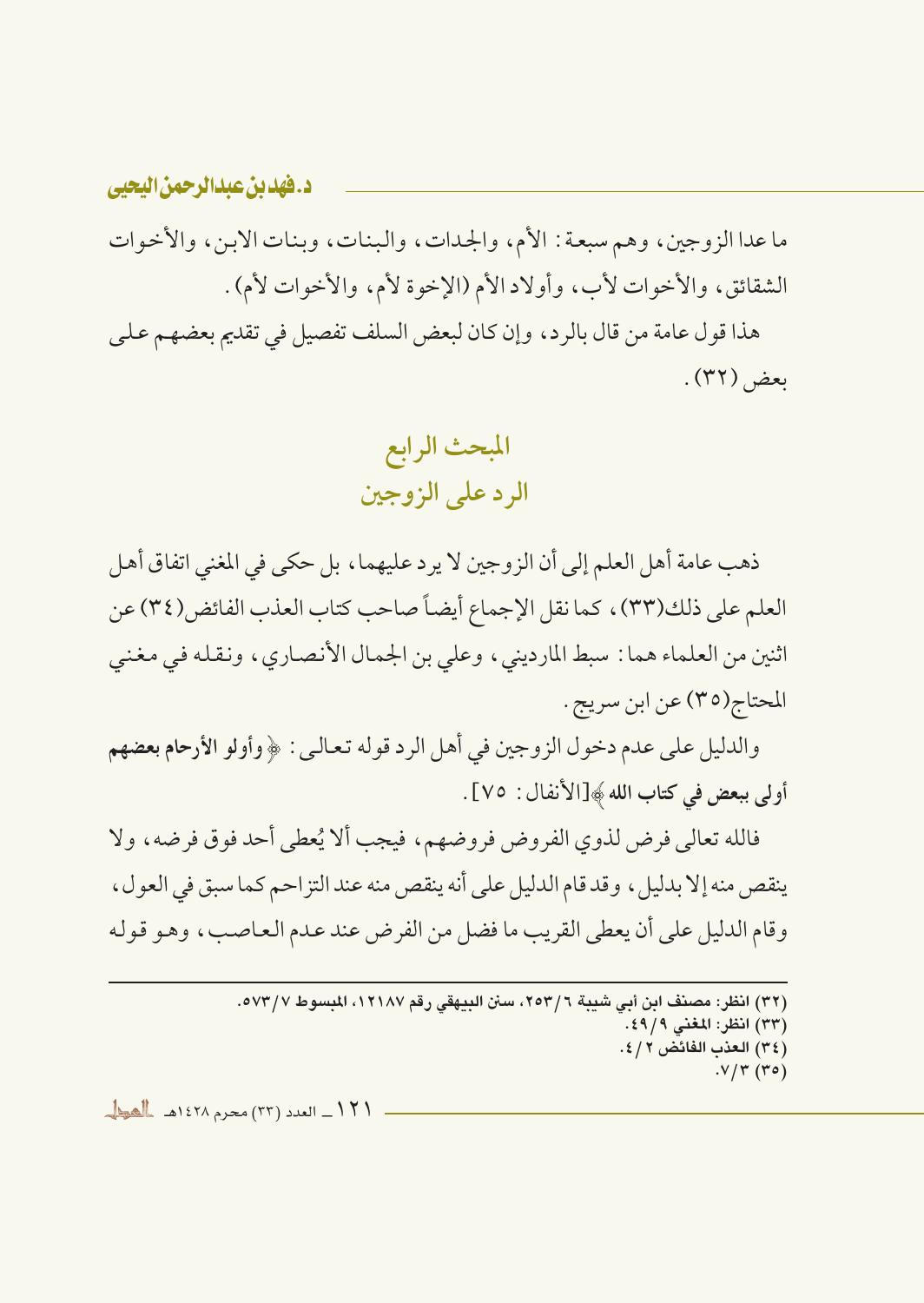ما عدا الزوجين، وهم سبعة : الأم، والجدات، والبنات، وبنات الابن، والأخوات الشقائق، والأخوات لأب، وأولاد الأم (الإخوة لأم، والأخوات لأم) . هذا قول عامة من قال بالرد، وإن كان لبعض السلف تفصيل في تقديم بعضهـم عـلـي ىعض (٣٢).

> المبحث الرابع الرد علي الزوجين

ذهب عامة أهل العلم إلى أن الزوجين لا يرد عليهما ، بل حكي في المغنى اتفاق أهل العلم على ذلك(٣٣)، كما نقل الإجماع أيضاً صاحب كتاب العذب الفائض(٣٤) عن اثنين من العلماء هما : سبط المارديني، وعلى بن الجمال الأنصاري، ونقله في مغنى المحتاج(٣٥) عن ابن سريج .

والدليل على عدم دخول الزوجين في أهل الرد قوله تعالى : ﴿ وأُولُو الأرحام بعضهم أولى ببعض في كتاب الله ﴾[الأنفال : ٧٥] .

فالله تعالى فرض لذوى الفروض فروضهم، فيجب ألا يُعطى أحد فوق فرضه، ولا ينقص منه إلا بدليل ، وقد قام الدليل على أنه ينقص منه عند التز احم كما سبق في العول ، وقام الدليل على أن يعطي القريب ما فضل من الفرض عند عدم العاصب، وهو قوله

> (٣٢) انظر : مصنف ابن أبي شيبة ٢٥٣/٦، سنن البيهقي , قم ١٢١٨٧، المسوط ٥٧٣/٧. (٣٣) انظر: المغنى ٤٩/٩. (٣٤) العذب الفائض ٢ / ٤.  $. V/T (ro)$

١٢١\_ العدد (٣٣) محرم ١٤٢٨هـ المطل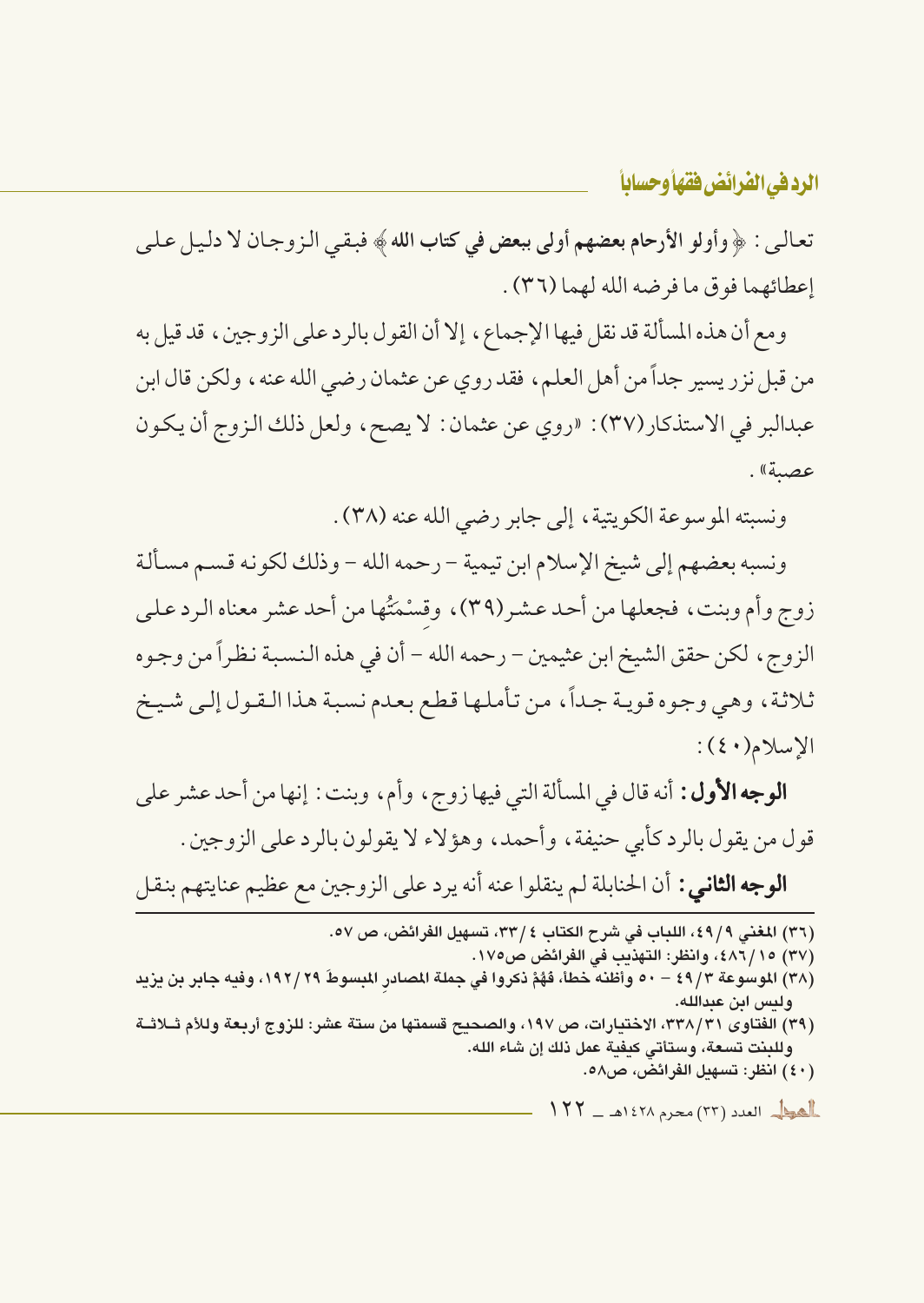تعالى : ﴿ وأولو الأرحام بعضهم أولى ببعض في كتاب الله ﴾ فبقى الزوجان لا دليل على إعطائهما فوق ما فرضه الله لهما (٣٦) .

ومع أن هذه المسألة قد نقل فيها الإجماع، إلا أن القول بالر د على الز وجين، قد قيل به من قبل نزر يسير جداً من أهل العلم، فقد روي عن عثمان رضي الله عنه، ولكن قال ابن عبدالبر في الاستذكار (٣٧): «روى عن عثمان: لا يصح، ولعل ذلك الزوج أن يكون عصية».

ونسبته الموسوعة الكويتية، إلى جابر رضي الله عنه (٣٨) .

ونسبه بعضهم إلى شيخ الإسلام ابن تيمية – رحمه الله – وذلك لكونه قسم مسألة زوج وأم وبنت، فجعلها من أحد عشر(٣٩)، وقسْمَتُها من أحد عشر معناه الرد علي الزوج ، لكن حقق الشيخ ابن عثيمين – رحمه الله – أن في هذه النسبة نظراً من وجوه ثلاثة، وهي وجوه قوية جداً، من تأملها قطع بعدم نسبة هذا القول إلى شيخ  $\lvert \lvert \lvert \lvert \text{curl}(\cdot) \rvert \rvert$ 

**الوجه الأول:** أنه قال في المسألة التي فيها زوج ، وأم ، وبنت : إنها من أحد عشر على قول من يقول بالرد كأبي حنيفة ، وأحمد ، وهؤلاء لا يقولون بالرد على الزوجين . **الوجه الثاني :** أن الحنابلة لم ينقلوا عنه أنه يرد على الزوجين مع عظيم عنايتهم بنقل

(٣٦) المغنى ٤٩/٩، اللباب في شرح الكتاب ٤ /٣٣، تسهيل الفرائض، ص ٥٧.

(٣٧) ٤٨٦/١٥؛ ، وانظر: التهذيب في الفرائض ص١٧٥.

- (٣٨) الموسوعة ٤٩/٣ ٥٠ وأظنه خطأ، فَهُمْ نكروا في جملة المصادر المبسوطَ ٢٩/ ١٩٢، وفيه جابر بن يزيد وليس ابن عبدالله.
- (٣٩) الفتاوى ٣٣٨/٣١، الاختيارات، ص ١٩٧، والصحيح قسمتها من ستة عشر: للزوج أربعة وللأم ثــلاثــة وللبنت تسعة، وستأتي كبفية عمل ذلك إن شاء الله.
	- (٤٠) انظر: تسهىل الفرائض، ص٥٨.

العطم العدد (٣٣) محرم ١٤٢٨هـ - ١٢٢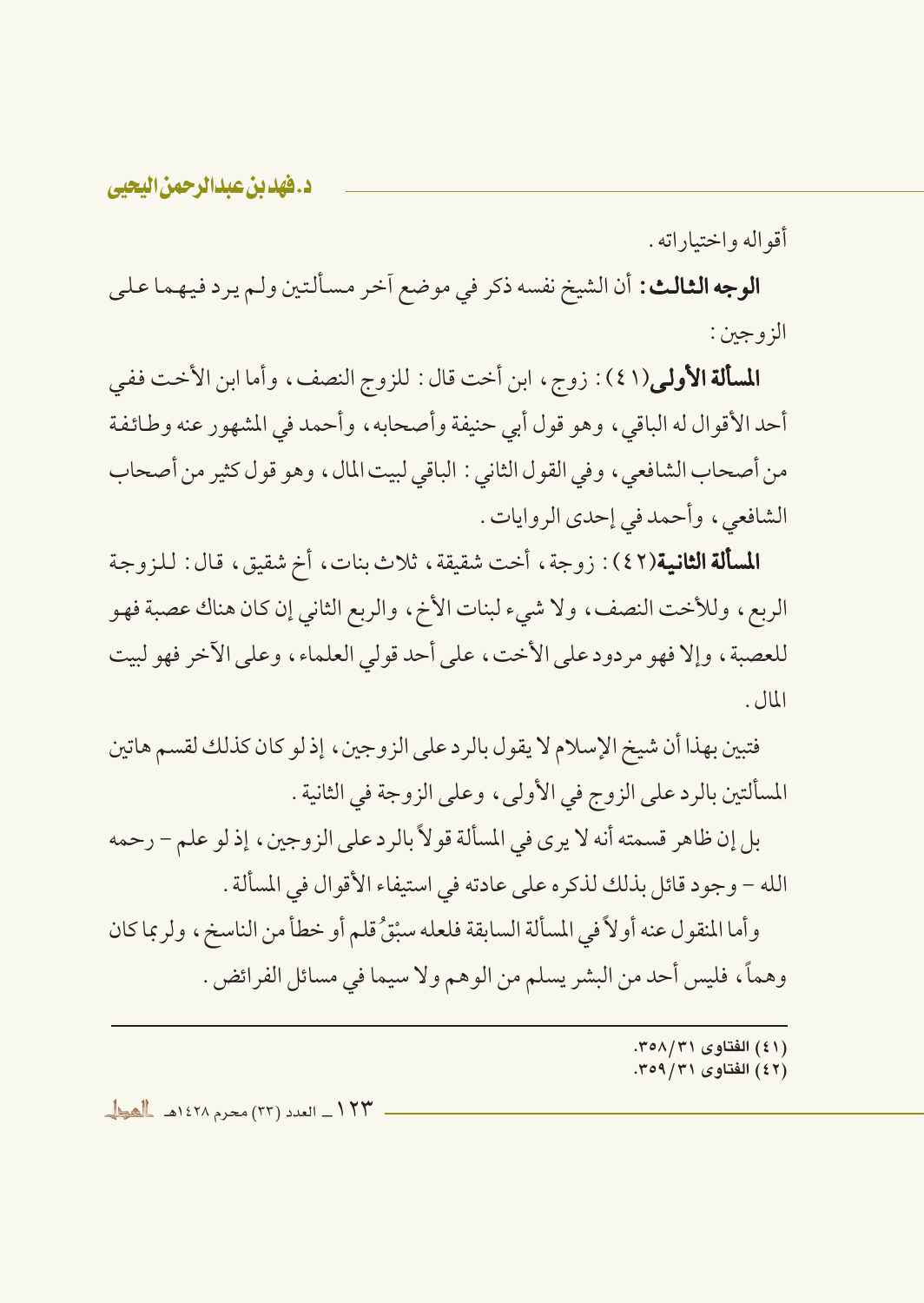أقواله واختياراته .

**الوجه الثالث:** أن الشيخ نفسه ذكر في موضع اَخر مسألتين ولـم يرد فيهما عـلي الز و جين :

**المسألة الأولى**(٤١): زوج، ابن أخت قال: للزوج النصف، وأما ابن الأخت ففي أحد الأقوال له الباقي ، وهو قول أبي حنيفة وأصحابه ، وأحمد في المشهور عنه وطائفة من أصحاب الشافعي، وفي القول الثاني : الباقي لبيت المال، وهو قول كثير من أصحاب الشافعي، وأحمد في إحدى الروايات.

**المسألة الثانية**(٤٢): زوجة، أخت شقيقة، ثلاث بنات، أخ شقيق، قال: للزوجة الربع، وللأخت النصف، ولا شيء لبنات الأخ، والربع الثاني إن كان هناك عصبة فهو للعصبة، وإلا فهو مردود على الأخت، على أحد قولي العلماء، وعلى الأخر فهو لبيت  $|JU|$ .

فتبين بهذا أن شيخ الإسلام لا يقول بالرد على الزوجين ، إذ لو كان كذلك لقسم هاتين المسألتين بالرد على الزوج في الأولى، وعلى الزوجة في الثانية .

بل إن ظاهر قسمته أنه لا يرى في المسألة قو لاً بالرد على الزوجين ، إذ لو علم – رحمه الله – وجود قائل بذلك لذكره على عادته في استيفاء الأقوال في المسألة .

وأما المنقول عنه أولاً في المسألة السابقة فلعله سبْقُ قلم أو خطأ من الناسخ، ولر بما كان وهماً، فليس أحد من البشر يسلم من الوهم ولا سيما في مسائل الفرائض .

- (٤١) الفتاوى ٣٥٨/٣١.
	- (٤٢) الفتاوى ٣٥٩/٣١.

١٢٣ ـ العدد (٣٣) محرم ١٤٢٨هـ للعط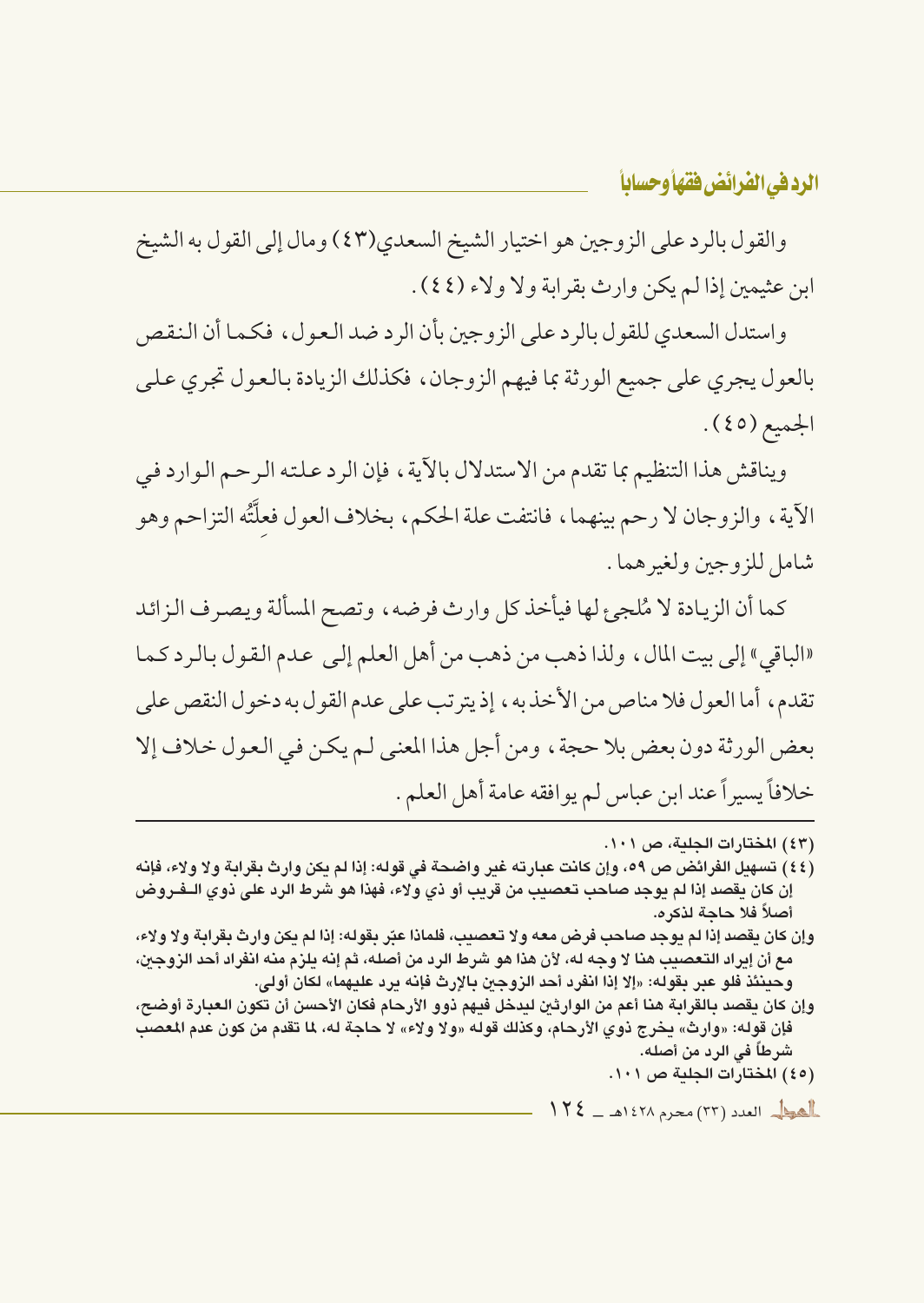والقول بالرد على الزوجين هو اختيار الشيخ السعدي(٤٣) ومال إلى القول به الشيخ ابن عثيمين إذا لم يكن وارث بقرابة ولا ولاء (٤٤).

واستدل السعدي للقول بالرد على الزوجين بأن الرد ضد العول، فكما أن النقص بالعول يجرى على جميع الورثة بما فيهم الزوجان، فكذلك الزيادة بالعول تجرى على الجميع (٤٥).

ويناقش هذا التنظيم بما تقدم من الاستدلال بالآية، فإن الرد علته الرحم الوارد في الآية ، والزوجان لا رحم بينهما ، فانتفت علة الحكم ، بخلاف العول فعلَّتُه التزاحم وهو شامل للزوجين ولغير هما .

كما أن الزيادة لا مُلجىء لها فيأخذ كل وارث فرضه، وتصح المسألة ويصرف الزائد «الباقي» إلى بيت المال، ولذا ذهب من ذهب من أهل العلم إلى عدم القول بالرد كما تقدم، أما العول فلا مناص من الأخذ به، إذ يترتب على عدم القول به دخول النقص على بعض الورثة دون بعض بلا حجة، ومن أجل هذا المعنى لـم يكـن في الـعـول خـلاف إلا خلافاً يسيراً عند ابن عباس لم يوافقه عامة أهل العلم .

- (٤٤) تسهيل الفرائض ص ٥٩، وإن كانت عبارته غير واضحة في قوله: إذا لم يكن وارث بقرابة ولا ولاء، فإنه إن كان يقصد إذا لم يوجد صاحب تعصيب من قريب أو ذي ولاء، فهذا هو شرط الرد على ذوي الــفـروض أصلاً فلا حاجة لذكره.
- وإن كان يقصد إذا لم يوجد صاحب فرض معه ولا تعصيب، فلماذا عبّر بقوله: إذا لم يكن وارث بقرابة ولا ولاء، مع أن إيراد التعصيب هنا لا وجه له، لأن هذا هو شرط الرد من أصله، ثم إنه يلزم منه انفراد أحد الزوجين، وحينئذ فلو عبر بقوله: «إلا إذا انفرد أحد الزوجين بالإرث فإنه يرد عليهما» لكان أولى.
- وإن كان يقصد بالقرابة هنا أعم من الوارثين ليدخل فيهم ذوو الأرحام فكان الأحسن أن تكون العبارة أوضح، فإن قوله: «وارث» يخرج ذوي الأرحام، وكذلك قوله «ولا ولاء» لا حاجة له، لما تقدم من كون عدم المعصب شرطاً في الرد من أصله. (٤٥) المختارات الجلية ص ١٠١.

 $112 = 1271$   $222 (77)$   $224$ 

<sup>(</sup>٤٣) المختارات الجلية، ص ١٠١.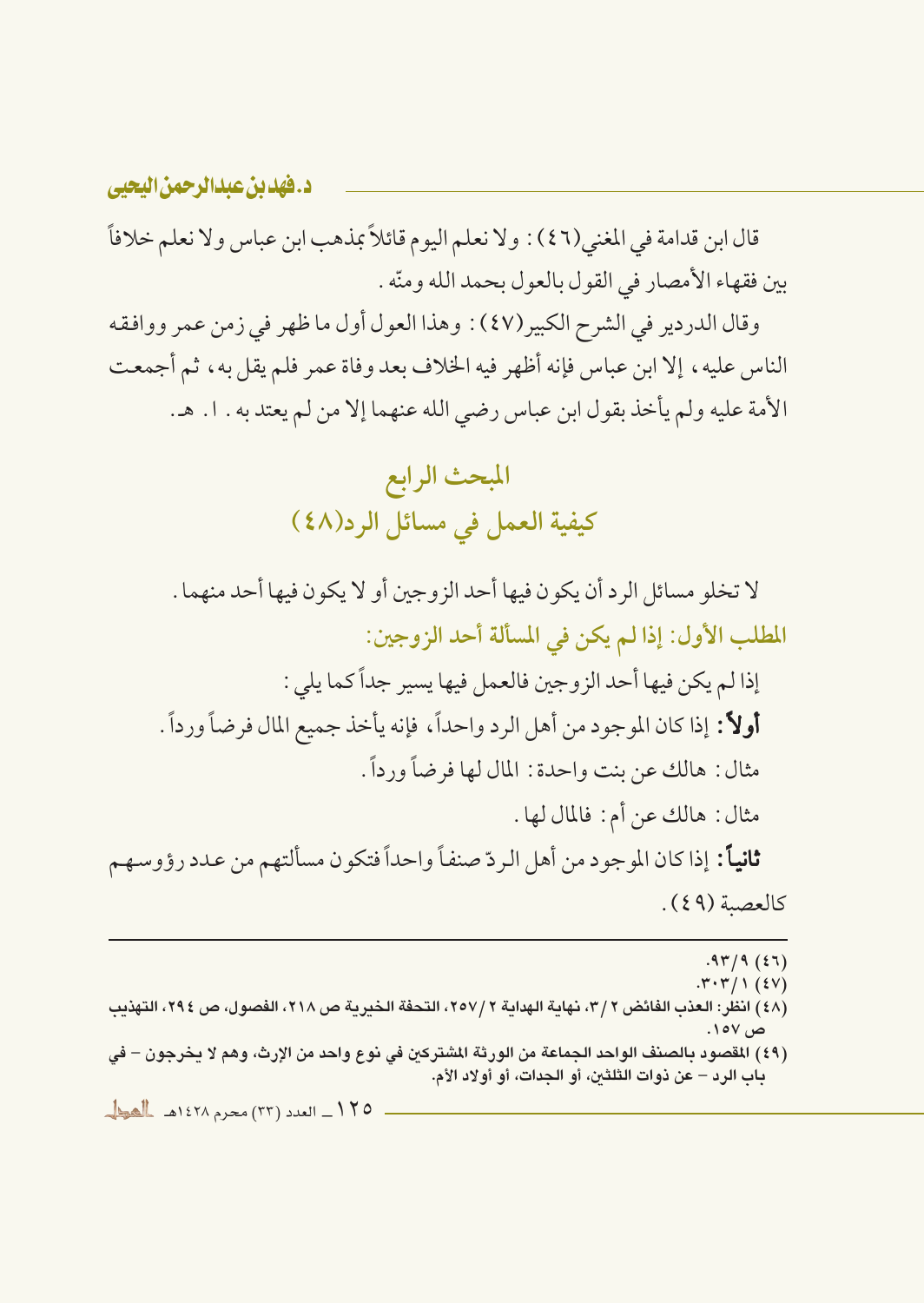قال ابن قدامة في المغنى(٤٦) : ولا نعلم اليوم قائلاً بمذهب ابن عباس ولا نعلم خلافاً بين فقهاء الأمصار في القول بالعول بحمد الله ومنّه .

وقال الدردير في الشرح الكبير (٤٧) : وهذا العول أول ما ظهر في زمن عمر ووافقه الناس عليه، إلا ابن عباس فإنه أظهر فيه الخلاف بعد وفاة عمر فلم يقل به، ثم أجمعت الأمة عليه ولم يأخذ بقول ابن عباس رضي الله عنهما إلا من لم يعتد به . ١. هـ.

> المبحث الرابع كيفية العمل في مسائل الرد(٤٨ )

لا تخلو مسائل الرد أن يكون فيها أحد الزوجين أو لا يكون فيها أحد منهما . المطلب الأول: إذا لم يكن في المسألة أحد الزوجين:

إذا لم يكن فيها أحد الزوجين فالعمل فيها يسير جداً كما يلي : أولاً: إذا كان الموجود من أهل الرد واحداً، فإنه يأخذ جميع المال فرضاً ورداً . مثال: هالك عن بنت واحدة: المال لها فرضاً ورداً. مثال : هالك عن أم : فالمال لها .

**ثانياً:** إذا كان الموجود من أهل الردّ صنفاً واحداً فتكون مسألتهم من عدد رؤوسهم كالعصة (٤٩).

 $.97/9(57)$ 

 $. \mathsf{r} \cdot \mathsf{r} / \mathsf{1}$  (£V)

- (٤٨) انظر: العذب الفائض ٢ /٣، نهاية الهداية ٢ /٢٥٧، التحفة الخيرية ص ٢١٨، الفصول، ص ٢٩٤، التهذيب ص ۱۰۷.
- (٤٩) المقصود بالصنف الواحد الجماعة من الورثة المشتركين في نوع واحد من الإرث، وهم لا يخرجون في باب الرد – عن ذوات الثلثين، أو الجدات، أو أولاد الأم.

١٢٥ ـ العدد (٣٣) محرم ١٤٢٨هـ للعط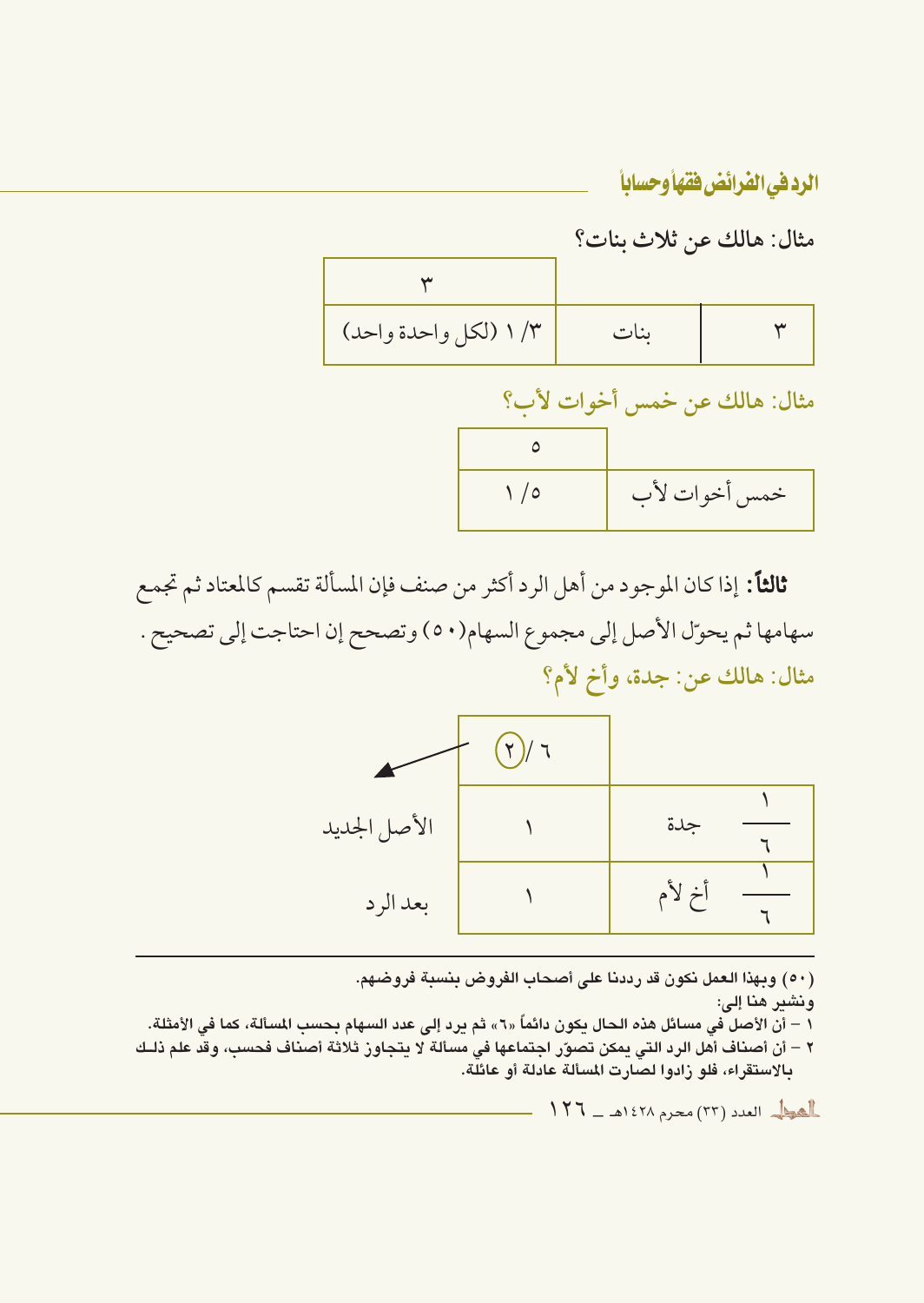مثال: هالك عن ثلاث بنات؟

| ١/٣ (لكل واحدة واحد) | $-41$ |  |
|----------------------|-------|--|

مثال: هالك عن خمس أخوات لأب؟

| $\bigwedge$ | خمس أخوات لأب |
|-------------|---------------|

ثالثاً: إذا كان الموجود من أهل الرد أكثر من صنف فإن المسألة تقسم كالمعتاد ثم تجمع سهامها ثم يحوّل الأصل إلى مجموع السهام(٥٠) وتصحح إن احتاجت إلى تصحيح . مثال: هالك عن: جدة، وأخ لأم؟



(٥٠) وبهذا العمل نكون قد رددنا على أصحاب الفروض بنسبة فروضهم. ونشير هنا إلى: .<br>١ – أن الأصل في مسائل هذه الحال يكون دائماً «٦» ثم يرد إلى عدد السهام بحسب المسألة، كما في الأمثلة. ٢ – أن أصناف أهل الرد التي يمكن تصوّر اجتماعها في مسألة لا يتجاوز ثلاثة أصناف فحسب، وقد علم ذلـك بالاستقراء، فلو زادوا لصارت المسألة عادلة أو عائلة.

العط العدد (٣٣) محرم ١٤٢٨هـ - ١٢٦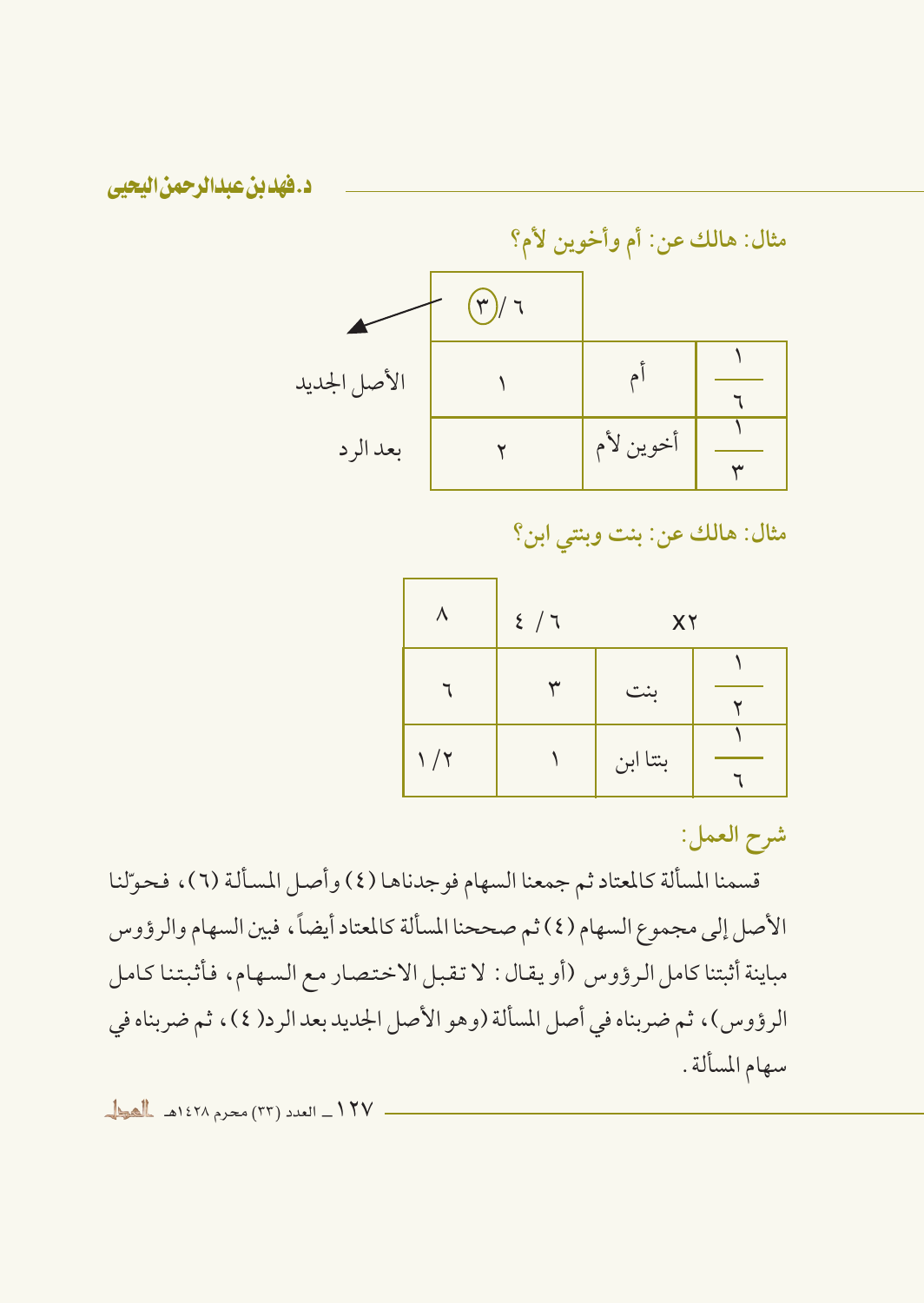

مثال: هالك عن: بنت وبنتي ابن؟

| $\lambda$            | 2 / 7 | XY       |  |  |  |
|----------------------|-------|----------|--|--|--|
|                      |       | بنت      |  |  |  |
| $\frac{1}{\sqrt{7}}$ |       | بنتا ابن |  |  |  |

شرح العمل:

قسمنا المسألة كالمعتاد ثم جمعنا السهام فوجدناها (٤) وأصل المسألة (٦)، فحوّلنا الأصل إلى مجموع السهام (٤) ثم صححنا المسألة كالمعتاد أيضاً، فبين السهام والرؤوس مباينة أثبتنا كامل الرؤوس (أو يقال: لا تقبل الاختصار مع السهام، فأثبتنا كامل الرؤوس)، ثم ضربناه في أصل المسألة (وهو الأصل الجديد بعد الرد( ٤)، ثم ضربناه في سهام المسألة .

١٢٧ ـ العدد (٣٣) محرم ١٤٢٨هـ للهوال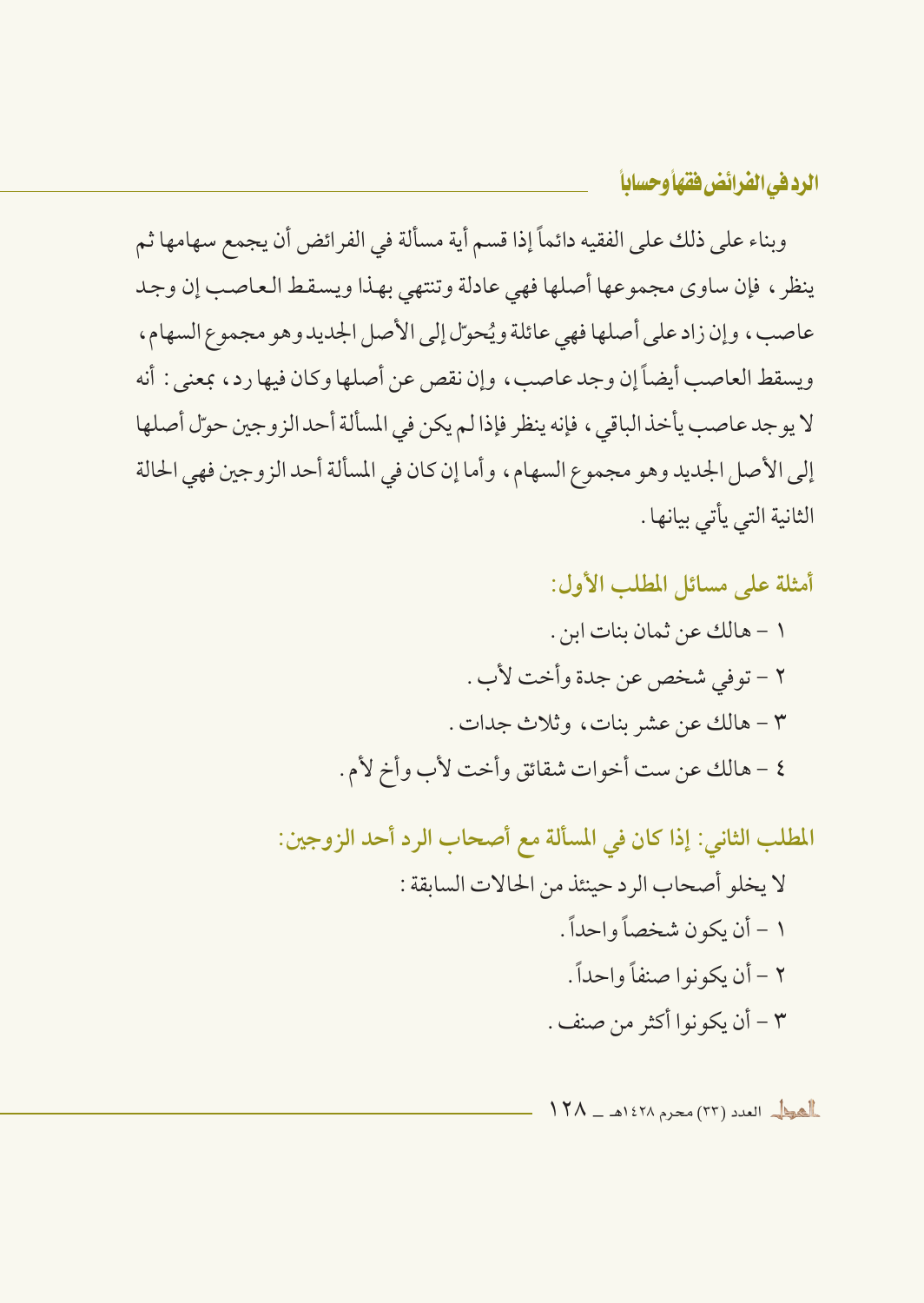وبناء على ذلك على الفقيه دائماً إذا قسم أية مسألة في الفرائض أن يجمع سهامها ثم ينظر ، فإن ساوي مجموعها أصلها فهي عادلة وتنتهى بهذا ويسقط العاصب إن وجد عاصب، وإن زاد على أصلها فهي عائلة ويُحوِّل إلى الأصل الجديد وهو مجموع السهام، ويسقط العاصب أيضاً إن وجد عاصب، وإن نقص عن أصلها وكان فيها رد، بمعنى : أنه لا يو جد عاصب يأخذ الباقي ، فإنه ينظر فإذا لم يكن في المسألة أحد الز وجين حوّل أصلها إلى الأصل الجديد وهو مجموع السهام، وأما إن كان في المسألة أحد الزوجين فهي الحالة الثانية التي يأتي بيانها .

> أمثلة على مسائل المطلب الأول: ١ - هالك عن ثمان بنات ابن . ٢ - توفي شخص عن جدة وأخت لأب . ٣ - هالك عن عشر بنات، وثلاث جدات . ٤ - هالك عن ست أخوات شقائق وأخت لأب وأخ لأم .

المطلب الثاني: إذا كان في المسألة مع أصحاب الرد أحد الزوجين: لا يخلو أصحاب الرد حينئذ من الحالات السابقة : ١ - أن يكون شخصاً واحداً . ٢ - أن يكونوا صنفاً وإحداً . ٣ - أن يكونوا أكثر من صنف .

 $\frac{11}{11}$ العود (٢٣) (٢٣) محرم ١٤٢٨هـ ـ ١٢٨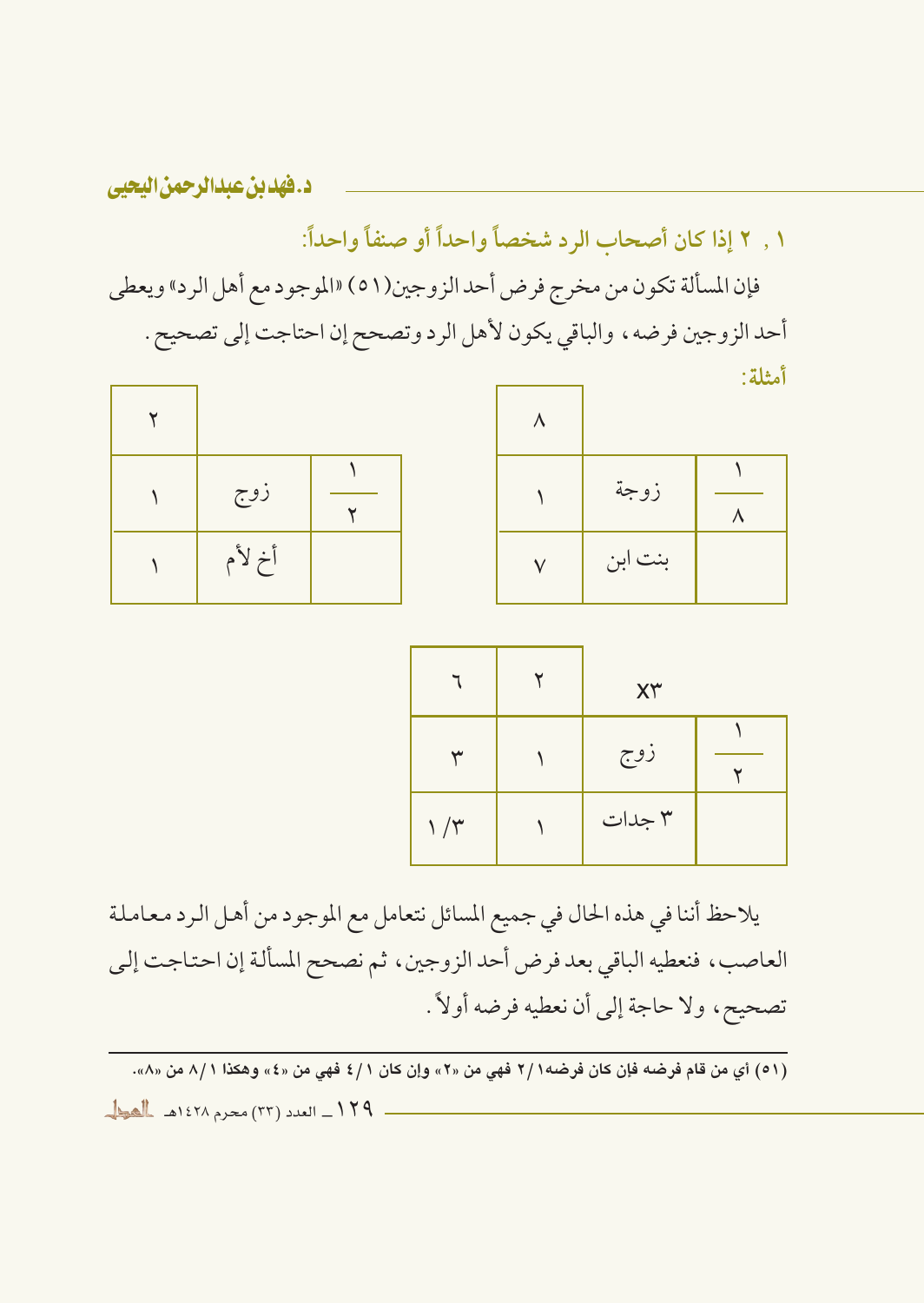١ , ٢ إذا كان أصحاب الرد شخصاً واحداً أو صنفاً واحداً:

فإن المسألة تكون من مخرج فرض أحد الزوجين(٥١) «الموجود مع أهل الرد» ويعطي أحد الزوجين فرضه، والباقي يكون لأهل الرد وتصحح إن احتاجت إلى تصحيح . أمثلة:

| زوج    |  |
|--------|--|
| أخ لأم |  |

| زوجة    | л |
|---------|---|
| بنت ابن |   |

|               | XY     |  |
|---------------|--------|--|
|               | زوج    |  |
| $\gamma/\tau$ | ٣ جدات |  |

يلاحظ أننا في هذه الحال في جميع المسائل نتعامل مع الموجود من أهل الرد معاملة العاصب، فنعطيه الباقي بعد فرض أحد الزوجين، ثم نصحح المسألة إن احتاجت إلى تصحيح، ولا حاجة إلى أن نعطيه فرضه أولاً .

.<br>(٥١) أي من قام فرضه فإن كان فرضه١ /٢ فهي من «٢» وإن كان ١ /٤ فهي من «٤» وهكذا ١ /٨ من «٨».

١٢٩\_ العدد (٣٣) محرم ١٤٢٨هـ المطل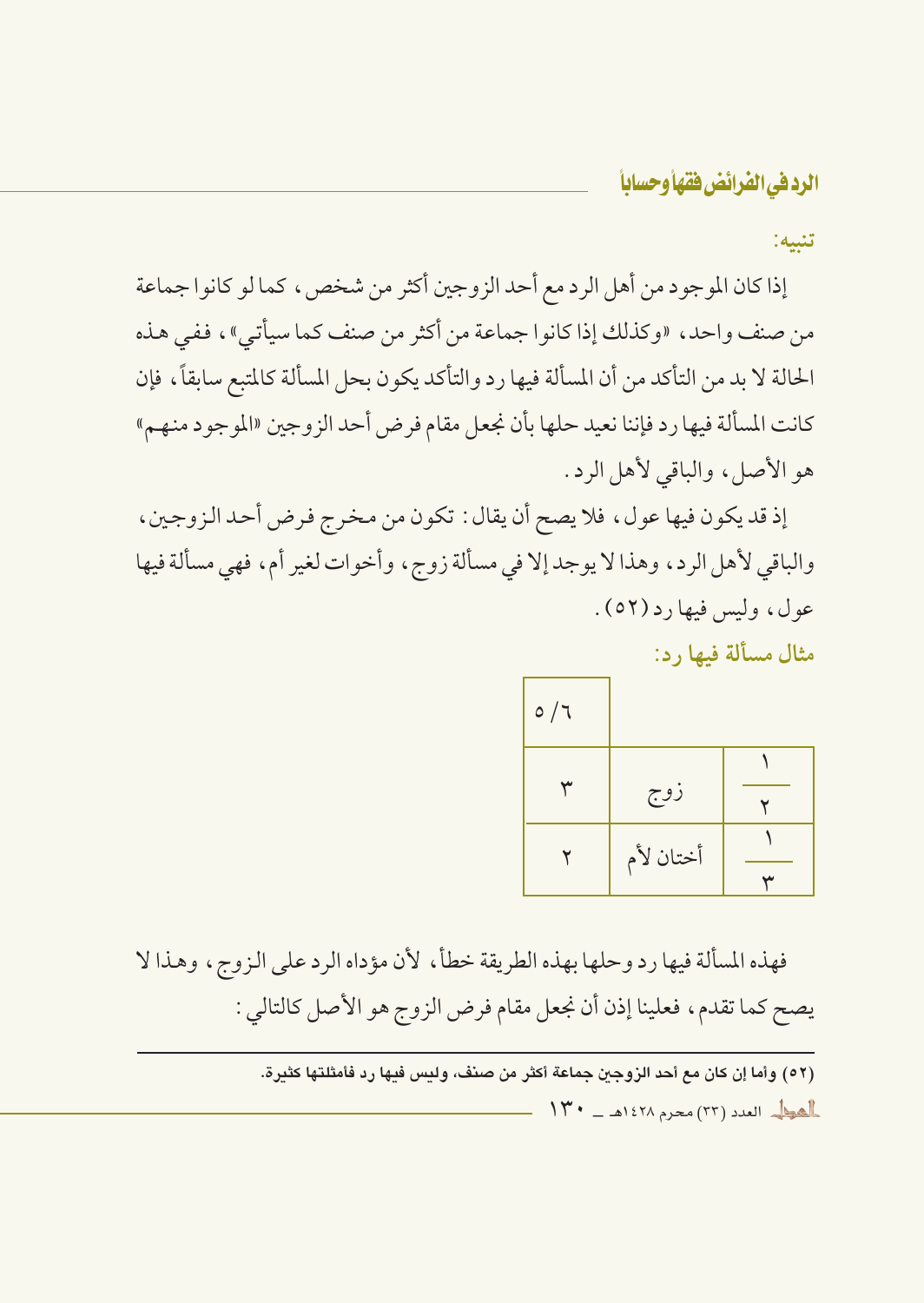تنىيە:

إذا كان الموجود من أهل الرد مع أحد الزوجين أكثر من شخص ، كما لو كانوا جماعة من صنف واحد، «وكذلك إذا كانوا جماعة من أكثر من صنف كما سيأتي»، ففي هذه الحالة لا بد من التأكد من أن المسألة فيها رد والتأكد يكون بحل المسألة كالمتبع سابقاً، فإن كانت المسألة فيها ر د فإننا نعيد حلها بأن نجعل مقام فرض أحد الزوجين «الموجود منهم» هو الأصل، والباقي لأهل الرد.

إذ قد يكون فيها عول، فلا يصح أن يقال : تكون من مخرج فرض أحد الزوجين، والباقي لأهل الرد، وهذا لا يوجد إلا في مسألة زوج، وأخوات لغير أم، فهي مسألة فيها عول، وليس فيها د (٥٢).

مثال مسألة فيها , د:

| $\circ/7$ |           |  |
|-----------|-----------|--|
|           |           |  |
|           | زوج       |  |
|           | أختان لأم |  |
|           |           |  |

فهذه المسألة فيها رد وحلها بهذه الطريقة خطأً، لأن مؤداه الرد على الزوج، وهذا لا يصح كما تقدم، فعلينا إذن أن نجعل مقام فرض الزوج هو الأصل كالتالي :

> (٥٢) وأما إن كان مع أحد الزوجين جماعة أكثر من صنف، وليس فيها رد فأمثلتها كثيرة.  $\|Y^* - \Delta\}$  )  $\|Y\|$  and  $\|Y\|$  ) and  $\|Y\|$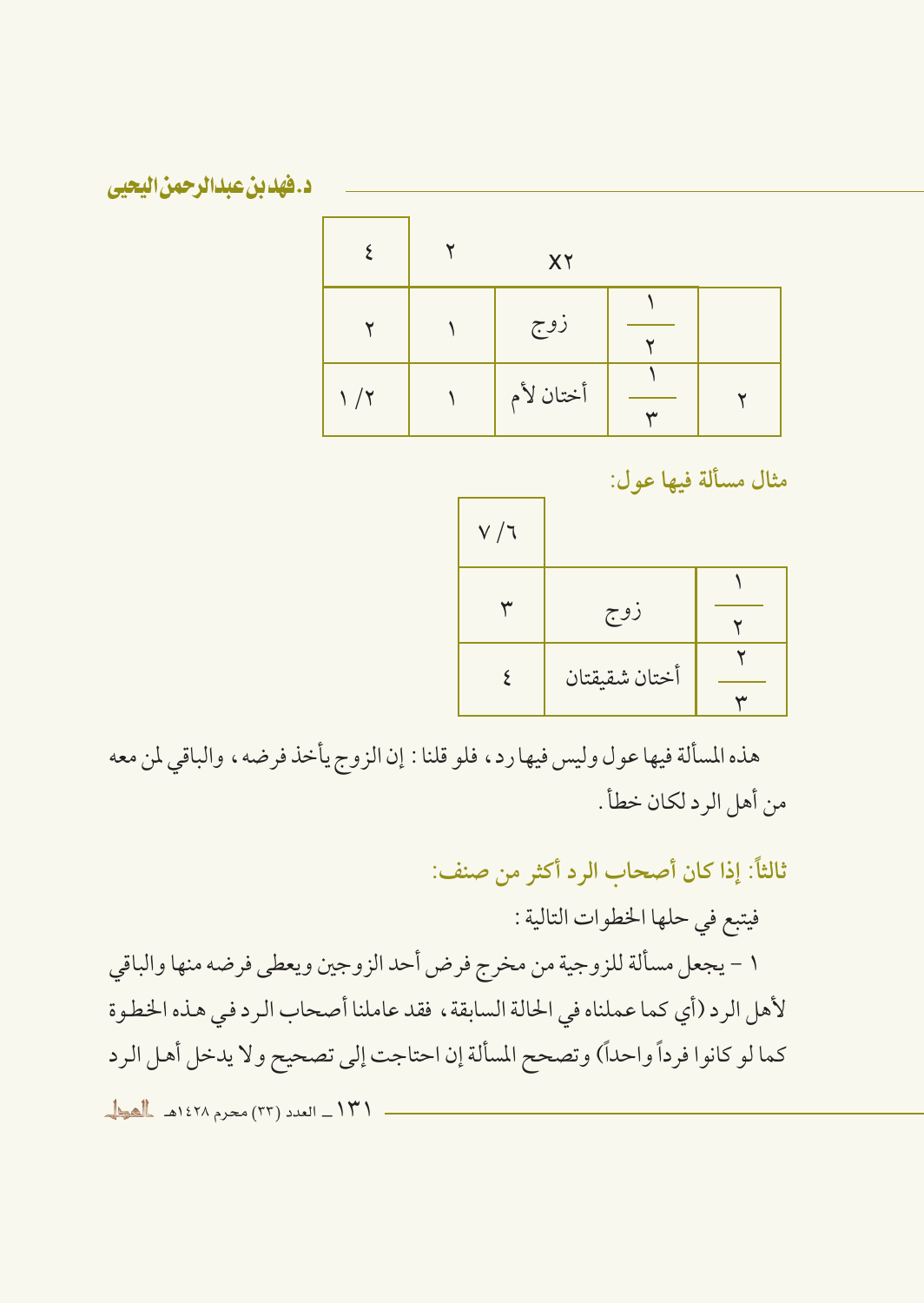|            | XY        |  |
|------------|-----------|--|
|            | زوج       |  |
| $\sqrt{7}$ | أختان لأم |  |

مثال مسألة فيها عول:

| V / 7 |               |  |
|-------|---------------|--|
|       |               |  |
|       | زوج           |  |
|       | أختان شقيقتان |  |
|       |               |  |

هذه المسألة فيها عول وليس فيها رد، فلو قلنا : إن الزوج يأخذ فرضه، والباقي لمن معه من أهل الرد لكان خطأ .

ثالثاً: إذا كان أصحاب الرد أكثر من صنف:

فيتبع في حلها الخطوات التالية :

١ – يجعل مسألة للزوجية من مخرج فرض أحد الزوجين ويعطي فرضه منها والباقي لأهل الرد (أي كما عملناه في الحالة السابقة، فقد عاملنا أصحاب الرد في هذه الخطوة كما لو كانوا فرداً واحداً) وتصحح المسألة إن احتاجت إلى تصحيح ولا يدخل أهل الرد

١٣١\_ العدد (٣٣) محرم ١٤٢٨هـ المطل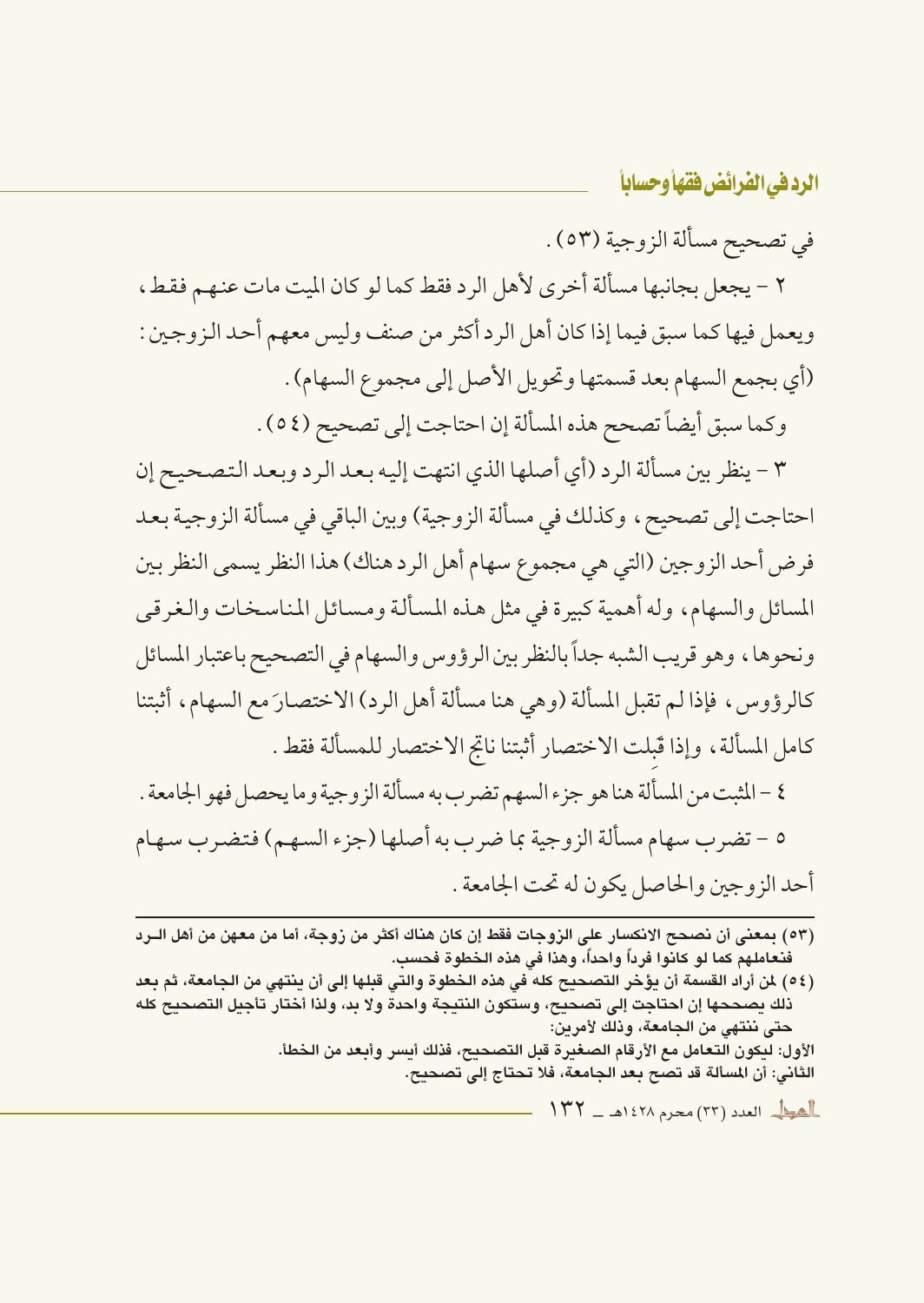في تصحيح مسألة الزوجية (٥٣) .

٢ - يجعل بجانبها مسألة أخرى لأهل الرد فقط كما لو كان الميت مات عنهم فقط، ويعمل فيها كما سبق فيما إذا كان أهل الرد أكثر من صنف وليس معهم أحد الزوجين : (أي بجمع السهام بعد قسمتها وتحويل الأصل إلى مجموع السهام) . وكما سبق أيضاً تصحح هذه المسألة إن احتاجت إلى تصحيح (٥٤) .

٣ - ينظر بين مسألة الرد (أي أصلها الذي انتهت إليه بعد الرد وبعد التصحيح إن احتاجت إلى تصحيح ، وكذلك في مسألة الزوجية) وبين الباقي في مسألة الزوجية بعد فرض أحد الزوجين (التي هي مجموع سهام أهل الرد هناك) هذا النظر يسمى النظر بين المسائل والسهام، وله أهمية كبيرة في مثل هذه المسألة ومسائل المناسخات والغرقي ونحوها، وهو قريب الشبه جداً بالنظر بين الرؤوس والسهام في التصحيح باعتبار المسائل كالرؤوس، فإذا لم تقبل المسألة (وهي هنا مسألة أهل الرد) الاختصارَ مع السهام، أثبتنا كامل المسألة، وإذا قَبلت الاختصار أثبتنا ناتج الاختصار للمسألة فقط .

٤ –المثبت من المسألة هنا هو جزء السهم تضرب به مسألة الزوجية وما يحصل فهو الجامعة . ٥ – تضرب سهام مسألة الزوجية بما ضرب به أصلها (جزء السهم) فتضرب سهام أحد الزوجين والحاصل يكون له تحت الجامعة .

(٥٤) لمن أراد القسمة أن يؤخر التصحيح كله في هذه الخطوة والتي قبلها إلى أن ينتهي من الجامعة، ثم بعد ذلك يصححها إن احتاجت إلى تصحيح، وستكون النتيجة واحدة ولا بد، ولذا أختار تأجيل التصحيح كله حتى ننتهى من الجامعة، وذلك لأمرين:

الأول: ليكون التعامل مع الأرقام الصغيرة قبل التصحيح، فذلك أيسر وأبعد من الخطأ. الثاني: أن المسألة قد تصح بعد الجامعة، فلا تحتاج إلى تصحيح.

العط العدد (٢٣) محرم ١٤٢٨هـ - ١٣٢

<sup>(</sup>٥٣) بمعنى أن نصحح الانكسار على الزوجات فقط إن كان هناك أكثر من زوجة، أما من معهن من أهل الــرد فنعاملهم كما لو كانوا فرداً واحداً، وهذا في هذه الخطوة فحسب.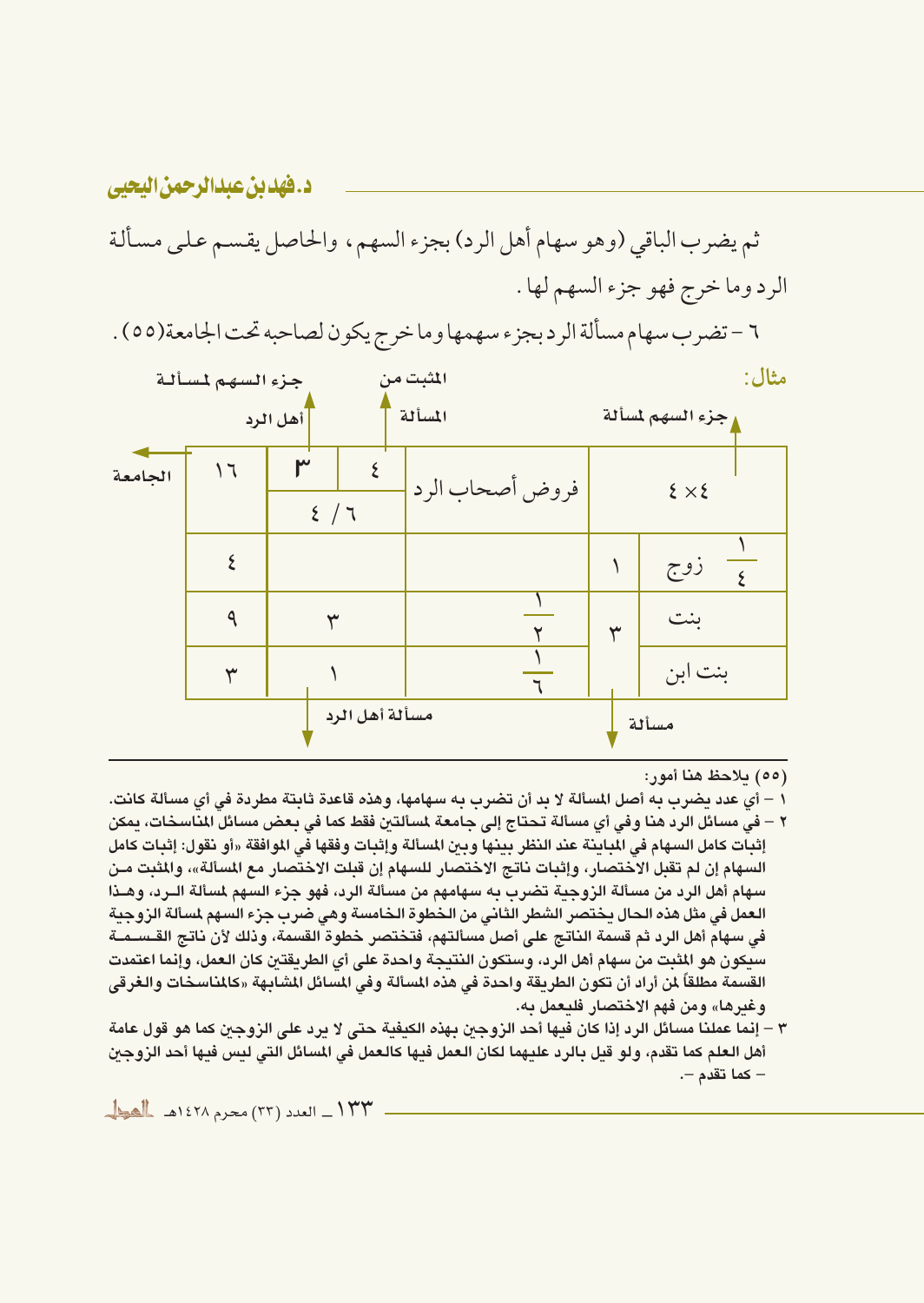# ثم يضرب الباقي (وهو سهام أهل الرد) بجزء السهم، والحاصل يقسم علىي مسألة الرد وما خرج فهو جزء السهم لها .

٦ – تضرب سهام مسألة الرد بجزء سهمها وما خرج يكون لصاحبه تحت الجامعة(٥٥) .

|         | جزء السهم لمسألة |                | المثبت من       |   | مثال:             |
|---------|------------------|----------------|-----------------|---|-------------------|
|         |                  | أهل الرد       | المسألة         |   | وجزء السهم لمسألة |
| الجامعة | ۱٦               | ٣<br>2/7       | فروض أصحاب الرد |   | $\xi \times \xi$  |
|         |                  |                |                 |   | زوج               |
|         | ٩                | ٣              |                 | ٣ | بنت               |
|         | ₩                |                |                 |   | بنت ابن           |
|         |                  | مسألة أهل الرد |                 |   | مسألة             |

- (٥٥) بلاحظ هنا أمور:
- ١ أي عدد يضرب به أصل المسألة لا بد أن تضرب به سهامها، وهذه قاعدة ثابتة مطردة في أي مسألة كانت. ٢ – في مسائل الرد هنا وفي أي مسألة تحتاج إلى جامعة لمسألتن فقط كما في بعض مسائل المناسخات، بمكن إثبات كامل السهام في المباينة عند النظر بينها وبين المسألة وإثبات وفقها في الموافقة «أو نقول: إثبات كامل السهام إن لم تقبل الاختصار، وإثبات ناتج الاختصار للسهام إن قبلت الاختصار مع المسألة»، والمثبت مـن سهام أهل الرد من مسألة الزوجية تضرب به سهامهم من مسألة الرد، فهو جزء السهم لمسألة الــرد، وهــذا العمل في مثل هذه الحال بختصر الشطر الثاني من الخطوة الخامسة وهي ضرب جزء السهم لمسألة الزوجنة في سهام أهل الرد ثم قسمة الناتج على أصل مسألتهم، فتختصر خطوة القسمة، وذلك لأن ناتج القـسـمــة سبكون هو المثبت من سهام أهل الرد، وستكون النتيجة واحدة على أي الطريقتين كان العمل، وإنما اعتمدت القسمة مطلقاً لمن أراد أن تكون الطريقة واحدة في هذه المسألة وفي المسائل المشابهة «كالمناسخات والغرقي وغيرها» ومن فهم الاختصار فليعمل به.
- ٣ إنما عملنا مسائل الرد إذا كان فيها أحد الزوجين بهذه الكيفية حتى لا يرد على الزوجين كما هو قول عامة أهل العلم كما تقدم، ولو قيل بالرد عليهما لكان العمل فيها كالعمل في المسائل التي ليس فيها أحد الزوجين – كما تقدم –.

د. فهدين عبدالرحمن اليحيي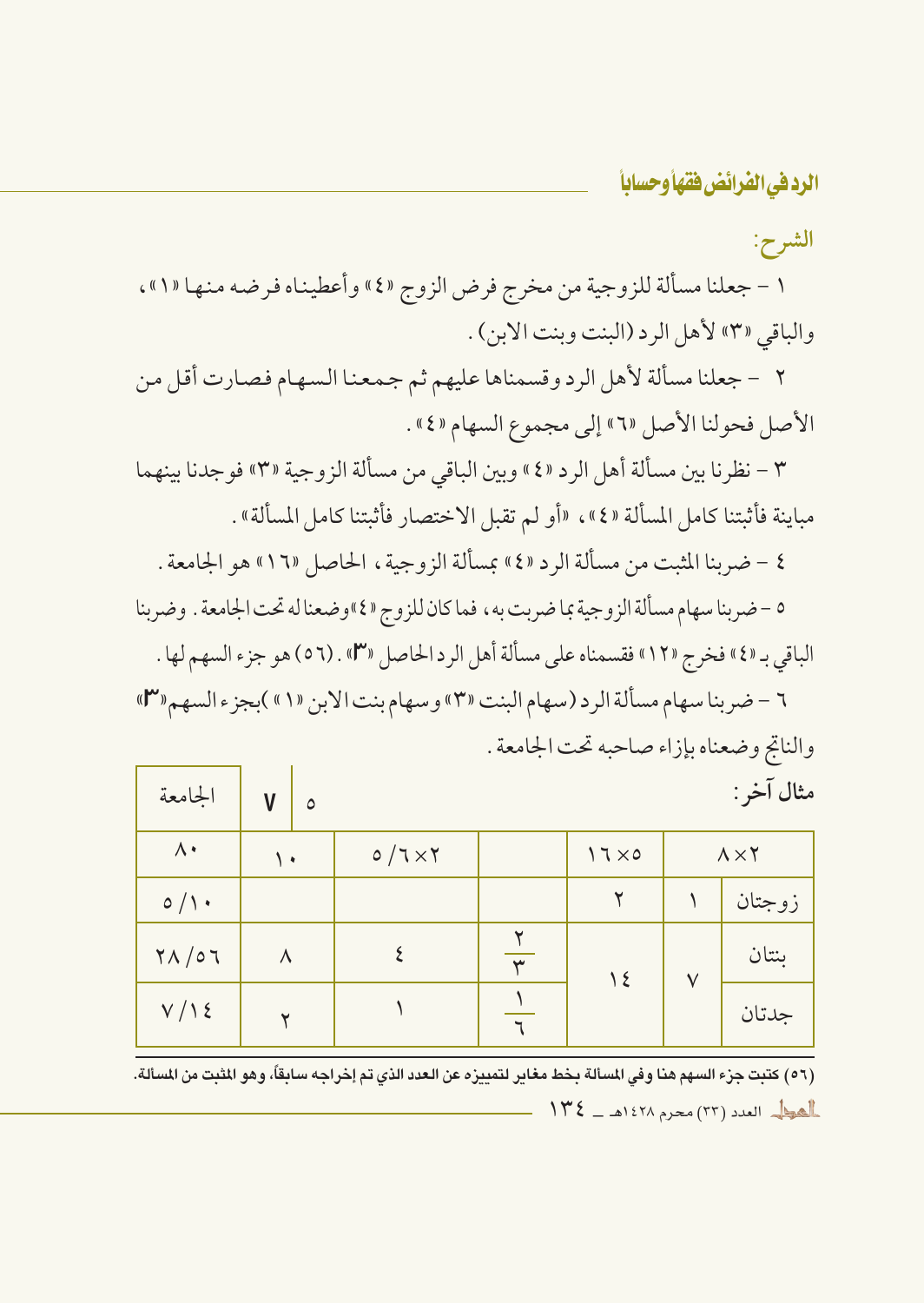الشرح:

١ – جعلنا مسألة للزوجية من مخرج فرض الزوج «٤» وأعطيناه فرضه منها «١»، والباقي «٣» لأهل الرد (البنت وبنت الابن) .

٢ – جعلنا مسألة لأهل الرد وقسمناها عليهم ثم جمعنا السهام فصارت أقل من الأصل فحولنا الأصل «٢» إلى مجموع السهام «٤» .

٣ - نظرنا بين مسألة أهل الرد «٤» وبين الباقي من مسألة الزوجية «٣» فوجدنا بينهما مباينة فأثبتنا كامل المسألة «٤»، «أو لم تقبل الاختصار فأثبتنا كامل المسألة» .

- ٤ ضربنا المثبت من مسألة الرد «٤» عسألة الزوجية ، الحاصل «١٦» هو الجامعة .
- ٥ ضربنا سهام مسألة الزوجية بما ضربت به ، فما كان للزوج «٤»وضعنا له تحت الجامعة . وضربنا الباقي بـ «٤» فخرج «١٢» فقسمناه على مسألة أهل الرد الحاصل «٣» . (٥٦) هو جزء السهم لها .

٦ - ضربنا سهام مسألة الرد (سهام البنت «٣» وسهام بنت الابن «١» )بجزء السهم«٣» والناتج وضعناه بإزاء صاحبه تحت الجامعة .

| الجامعة                      | $\mathsf{V}$<br>٥ |               |                         |               |           | مثال آخر :         |
|------------------------------|-------------------|---------------|-------------------------|---------------|-----------|--------------------|
| $\Lambda$                    | ۰ ۱               | $0/7\times 7$ |                         | $17\times0$   |           | $\Lambda \times Y$ |
| $\circ / \cdot$              |                   |               |                         | ۲             |           | زوجتان             |
| $\gamma \wedge / \circ \tau$ | ٨                 |               | $\overline{\mathbf{r}}$ | $\frac{1}{2}$ | $\sqrt{}$ | بنتان              |
| V/Y                          |                   |               | $\mathbf{r}$            |               |           | جدتان              |

(٥٦) كتبت جزء السهم هنا وفي المسألة بخط مغاير لتمييزه عن العدد الذي تم إخراجه سابقاً، وهو المثبت من المسألة. العط العدد (٣٣) محرم ١٤٢٨هـ - ١٣٤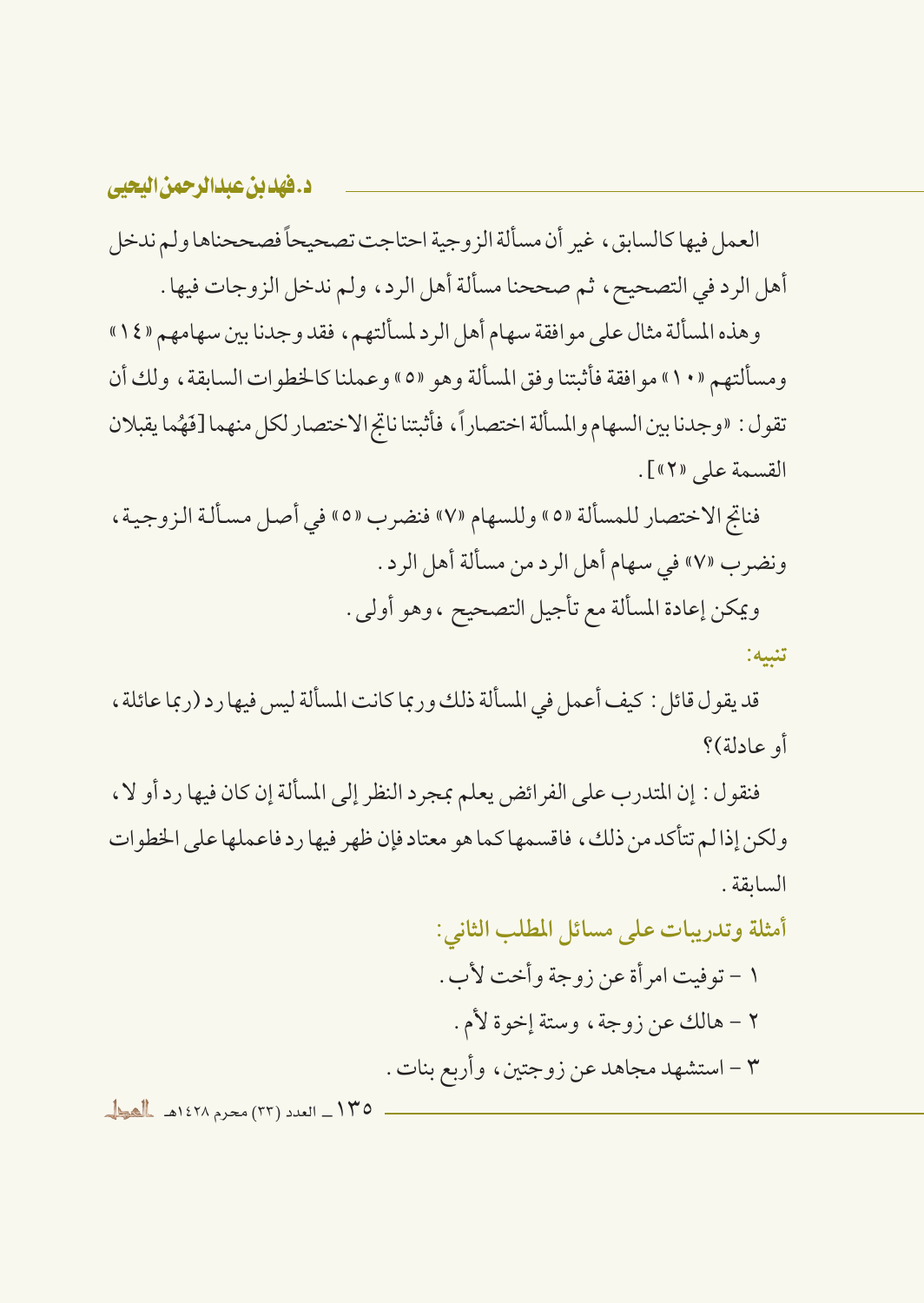العمل فيها كالسابق، غير أن مسألة الزوجية احتاجت تصحيحاً فصححناها ولم ندخل أهل الرد في التصحيح ، ثم صححنا مسألة أهل الرد، ولم ندخل الزوجات فيها .

وهذه المسألة مثال على موافقة سهام أهل الرد لمسألتهم، فقد وجدنا بين سهامهم «١٤» ومسألتهم «١٠» موافقة فأثبتنا وفق المسألة وهو «٥» وعملنا كالخطوات السابقة ، ولك أن تقول: «وجدنا بين السهام والمسألة اختصاراً، فأثبتنا ناتج الاختصار لكل منهما [فَهُما يقبلان القسمة على «٢»].

فناتج الاختصار للمسألة «٥» وللسهام «٧» فنضرب «٥» في أصل مسألة الزوجية، ونضرب «٧» في سهام أهل الرد من مسألة أهل الرد. ويمكن إعادة المسألة مع تأجيل التصحيح ، وهو أولى .

تنبيه:

قد يقول قائل : كيف أعمل في المسألة ذلك وربما كانت المسألة ليس فيها رد (ربما عائلة ، أو عادلة)؟

فنقول : إن المتدرب على الفرائض يعلم بمجرد النظر إلى المسألة إن كان فيها رد أو لا ، ولكن إذاليم تتأكد من ذلك، فاقسمها كما هو معتاد فإن ظهر فيها ر د فاعملها على الخطوات السابقة.

أمثلة وتدريبات على مسائل المطلب الثاني:

١ – توفيت امر أة عن زوجة وأخت لأب . ٢ – هالك عن زوجة، وستة إخوة لأم. ٣ – استشهد مجاهد عن زوجتين، وأربع بنات .

١٣٥ ـ العدد (٣٣) محرم ١٤٢٨هـ المطل